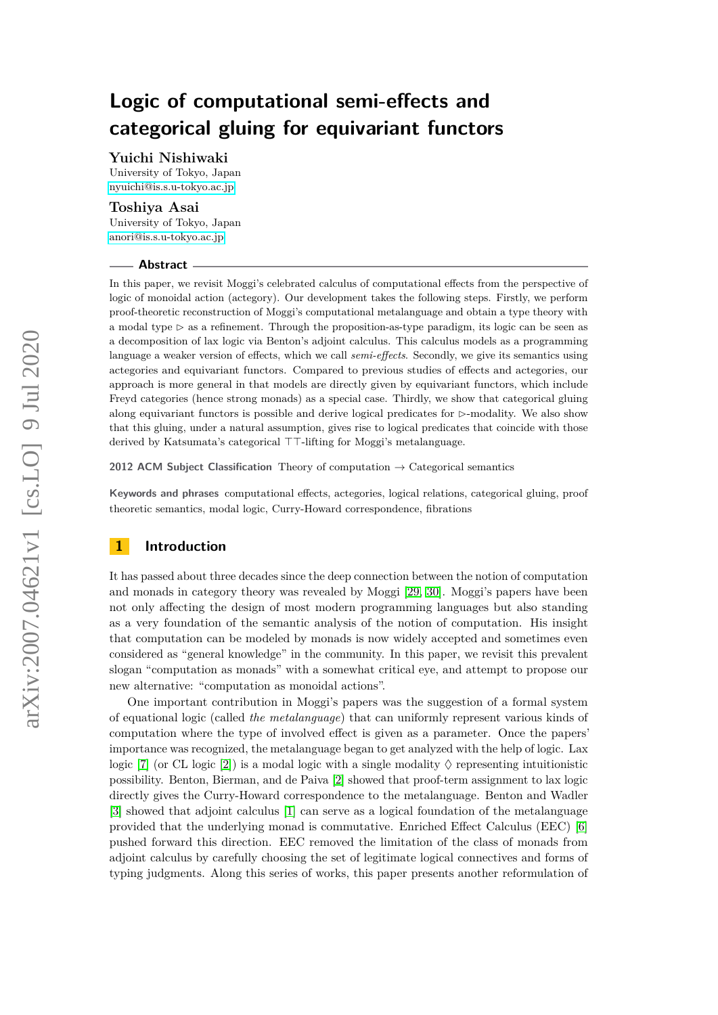**Yuichi Nishiwaki**

University of Tokyo, Japan [nyuichi@is.s.u-tokyo.ac.jp](mailto:nyuichi@is.s.u-tokyo.ac.jp)

## **Toshiya Asai**

University of Tokyo, Japan [anori@is.s.u-tokyo.ac.jp](mailto:anori@is.s.u-tokyo.ac.jp)

#### **Abstract**

In this paper, we revisit Moggi's celebrated calculus of computational effects from the perspective of logic of monoidal action (actegory). Our development takes the following steps. Firstly, we perform proof-theoretic reconstruction of Moggi's computational metalanguage and obtain a type theory with a modal type  $\triangleright$  as a refinement. Through the proposition-as-type paradigm, its logic can be seen as a decomposition of lax logic via Benton's adjoint calculus. This calculus models as a programming language a weaker version of effects, which we call *semi-effects*. Secondly, we give its semantics using actegories and equivariant functors. Compared to previous studies of effects and actegories, our approach is more general in that models are directly given by equivariant functors, which include Freyd categories (hence strong monads) as a special case. Thirdly, we show that categorical gluing along equivariant functors is possible and derive logical predicates for  $\triangleright$ -modality. We also show that this gluing, under a natural assumption, gives rise to logical predicates that coincide with those derived by Katsumata's categorical  $TT$ -lifting for Moggi's metalanguage.

**2012 ACM Subject Classification** Theory of computation → Categorical semantics

**Keywords and phrases** computational effects, actegories, logical relations, categorical gluing, proof theoretic semantics, modal logic, Curry-Howard correspondence, fibrations

## **1 Introduction**

It has passed about three decades since the deep connection between the notion of computation and monads in category theory was revealed by Moggi [\[29,](#page-16-0) [30\]](#page-16-1). Moggi's papers have been not only affecting the design of most modern programming languages but also standing as a very foundation of the semantic analysis of the notion of computation. His insight that computation can be modeled by monads is now widely accepted and sometimes even considered as "general knowledge" in the community. In this paper, we revisit this prevalent slogan "computation as monads" with a somewhat critical eye, and attempt to propose our new alternative: "computation as monoidal actions".

One important contribution in Moggi's papers was the suggestion of a formal system of equational logic (called *the metalanguage*) that can uniformly represent various kinds of computation where the type of involved effect is given as a parameter. Once the papers' importance was recognized, the metalanguage began to get analyzed with the help of logic. Lax logic [\[7\]](#page-15-0) (or CL logic [\[2\]](#page-15-1)) is a modal logic with a single modality  $\Diamond$  representing intuitionistic possibility. Benton, Bierman, and de Paiva [\[2\]](#page-15-1) showed that proof-term assignment to lax logic directly gives the Curry-Howard correspondence to the metalanguage. Benton and Wadler [\[3\]](#page-15-2) showed that adjoint calculus [\[1\]](#page-15-3) can serve as a logical foundation of the metalanguage provided that the underlying monad is commutative. Enriched Effect Calculus (EEC) [\[6\]](#page-15-4) pushed forward this direction. EEC removed the limitation of the class of monads from adjoint calculus by carefully choosing the set of legitimate logical connectives and forms of typing judgments. Along this series of works, this paper presents another reformulation of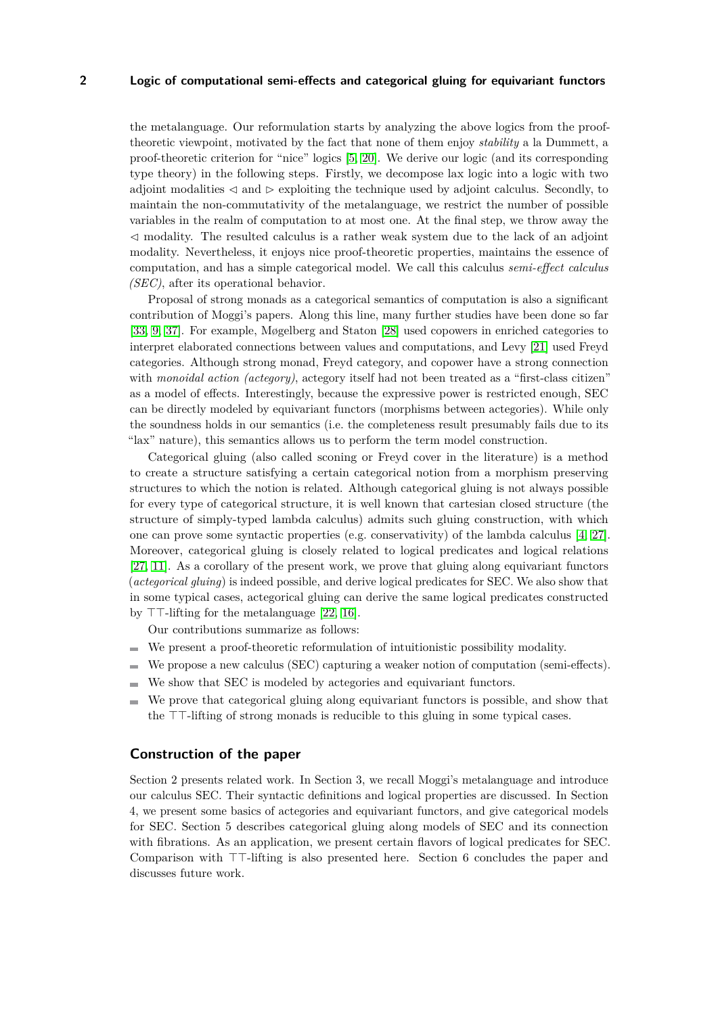the metalanguage. Our reformulation starts by analyzing the above logics from the prooftheoretic viewpoint, motivated by the fact that none of them enjoy *stability* a la Dummett, a proof-theoretic criterion for "nice" logics [\[5,](#page-15-5) [20\]](#page-15-6). We derive our logic (and its corresponding type theory) in the following steps. Firstly, we decompose lax logic into a logic with two adjoint modalities  $\triangleleft$  and  $\triangleright$  exploiting the technique used by adjoint calculus. Secondly, to maintain the non-commutativity of the metalanguage, we restrict the number of possible variables in the realm of computation to at most one. At the final step, we throw away the  $\leq$  modality. The resulted calculus is a rather weak system due to the lack of an adjoint modality. Nevertheless, it enjoys nice proof-theoretic properties, maintains the essence of computation, and has a simple categorical model. We call this calculus *semi-effect calculus (SEC)*, after its operational behavior.

Proposal of strong monads as a categorical semantics of computation is also a significant contribution of Moggi's papers. Along this line, many further studies have been done so far [\[33,](#page-16-2) [9,](#page-15-7) [37\]](#page-16-3). For example, Møgelberg and Staton [\[28\]](#page-16-4) used copowers in enriched categories to interpret elaborated connections between values and computations, and Levy [\[21\]](#page-15-8) used Freyd categories. Although strong monad, Freyd category, and copower have a strong connection with *monoidal action (actegory)*, actegory itself had not been treated as a "first-class citizen" as a model of effects. Interestingly, because the expressive power is restricted enough, SEC can be directly modeled by equivariant functors (morphisms between actegories). While only the soundness holds in our semantics (i.e. the completeness result presumably fails due to its "lax" nature), this semantics allows us to perform the term model construction.

Categorical gluing (also called sconing or Freyd cover in the literature) is a method to create a structure satisfying a certain categorical notion from a morphism preserving structures to which the notion is related. Although categorical gluing is not always possible for every type of categorical structure, it is well known that cartesian closed structure (the structure of simply-typed lambda calculus) admits such gluing construction, with which one can prove some syntactic properties (e.g. conservativity) of the lambda calculus [\[4,](#page-15-9) [27\]](#page-16-5). Moreover, categorical gluing is closely related to logical predicates and logical relations [\[27,](#page-16-5) [11\]](#page-15-10). As a corollary of the present work, we prove that gluing along equivariant functors (*actegorical gluing*) is indeed possible, and derive logical predicates for SEC. We also show that in some typical cases, actegorical gluing can derive the same logical predicates constructed by  $TT$ -lifting for the metalanguage [\[22,](#page-15-11) [16\]](#page-15-12).

Our contributions summarize as follows:

- We present a proof-theoretic reformulation of intuitionistic possibility modality.
- We propose a new calculus (SEC) capturing a weaker notion of computation (semi-effects).
- We show that SEC is modeled by actegories and equivariant functors.
- $\equiv$ We prove that categorical gluing along equivariant functors is possible, and show that the  $TT$ -lifting of strong monads is reducible to this gluing in some typical cases.

## **Construction of the paper**

Section 2 presents related work. In Section 3, we recall Moggi's metalanguage and introduce our calculus SEC. Their syntactic definitions and logical properties are discussed. In Section 4, we present some basics of actegories and equivariant functors, and give categorical models for SEC. Section 5 describes categorical gluing along models of SEC and its connection with fibrations. As an application, we present certain flavors of logical predicates for SEC. Comparison with  $TT$ -lifting is also presented here. Section 6 concludes the paper and discusses future work.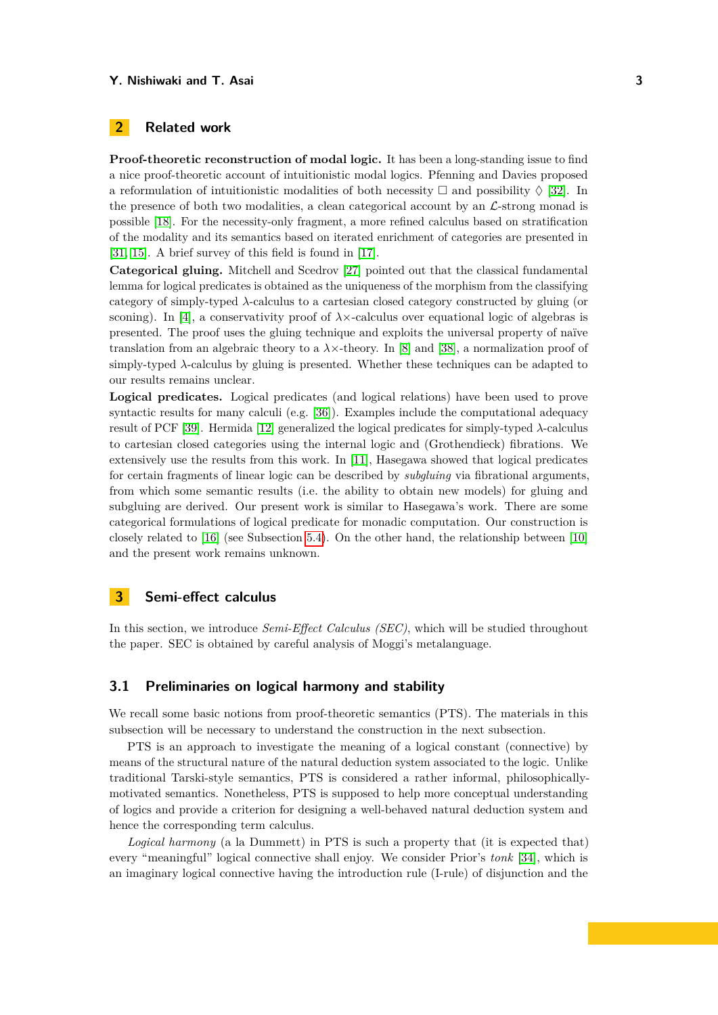## **2 Related work**

**Proof-theoretic reconstruction of modal logic.** It has been a long-standing issue to find a nice proof-theoretic account of intuitionistic modal logics. Pfenning and Davies proposed a reformulation of intuitionistic modalities of both necessity  $\Box$  and possibility  $\Diamond$  [\[32\]](#page-16-6). In the presence of both two modalities, a clean categorical account by an  $\mathcal{L}$ -strong monad is possible [\[18\]](#page-15-13). For the necessity-only fragment, a more refined calculus based on stratification of the modality and its semantics based on iterated enrichment of categories are presented in [\[31,](#page-16-7) [15\]](#page-15-14). A brief survey of this field is found in [\[17\]](#page-15-15).

**Categorical gluing.** Mitchell and Scedrov [\[27\]](#page-16-5) pointed out that the classical fundamental lemma for logical predicates is obtained as the uniqueness of the morphism from the classifying category of simply-typed *λ*-calculus to a cartesian closed category constructed by gluing (or sconing). In [\[4\]](#page-15-9), a conservativity proof of  $\lambda \times$ -calculus over equational logic of algebras is presented. The proof uses the gluing technique and exploits the universal property of naïve translation from an algebraic theory to a  $\lambda \times$ -theory. In [\[8\]](#page-15-16) and [\[38\]](#page-16-8), a normalization proof of simply-typed *λ*-calculus by gluing is presented. Whether these techniques can be adapted to our results remains unclear.

**Logical predicates.** Logical predicates (and logical relations) have been used to prove syntactic results for many calculi (e.g. [\[36\]](#page-16-9)). Examples include the computational adequacy result of PCF [\[39\]](#page-16-10). Hermida [\[12\]](#page-15-17) generalized the logical predicates for simply-typed *λ*-calculus to cartesian closed categories using the internal logic and (Grothendieck) fibrations. We extensively use the results from this work. In [\[11\]](#page-15-10), Hasegawa showed that logical predicates for certain fragments of linear logic can be described by *subgluing* via fibrational arguments, from which some semantic results (i.e. the ability to obtain new models) for gluing and subgluing are derived. Our present work is similar to Hasegawa's work. There are some categorical formulations of logical predicate for monadic computation. Our construction is closely related to [\[16\]](#page-15-12) (see Subsection [5.4\)](#page-13-0). On the other hand, the relationship between [\[10\]](#page-15-18) and the present work remains unknown.

## **3 Semi-effect calculus**

In this section, we introduce *Semi-Effect Calculus (SEC)*, which will be studied throughout the paper. SEC is obtained by careful analysis of Moggi's metalanguage.

## **3.1 Preliminaries on logical harmony and stability**

We recall some basic notions from proof-theoretic semantics (PTS). The materials in this subsection will be necessary to understand the construction in the next subsection.

PTS is an approach to investigate the meaning of a logical constant (connective) by means of the structural nature of the natural deduction system associated to the logic. Unlike traditional Tarski-style semantics, PTS is considered a rather informal, philosophicallymotivated semantics. Nonetheless, PTS is supposed to help more conceptual understanding of logics and provide a criterion for designing a well-behaved natural deduction system and hence the corresponding term calculus.

*Logical harmony* (a la Dummett) in PTS is such a property that (it is expected that) every "meaningful" logical connective shall enjoy. We consider Prior's *tonk* [\[34\]](#page-16-11), which is an imaginary logical connective having the introduction rule (I-rule) of disjunction and the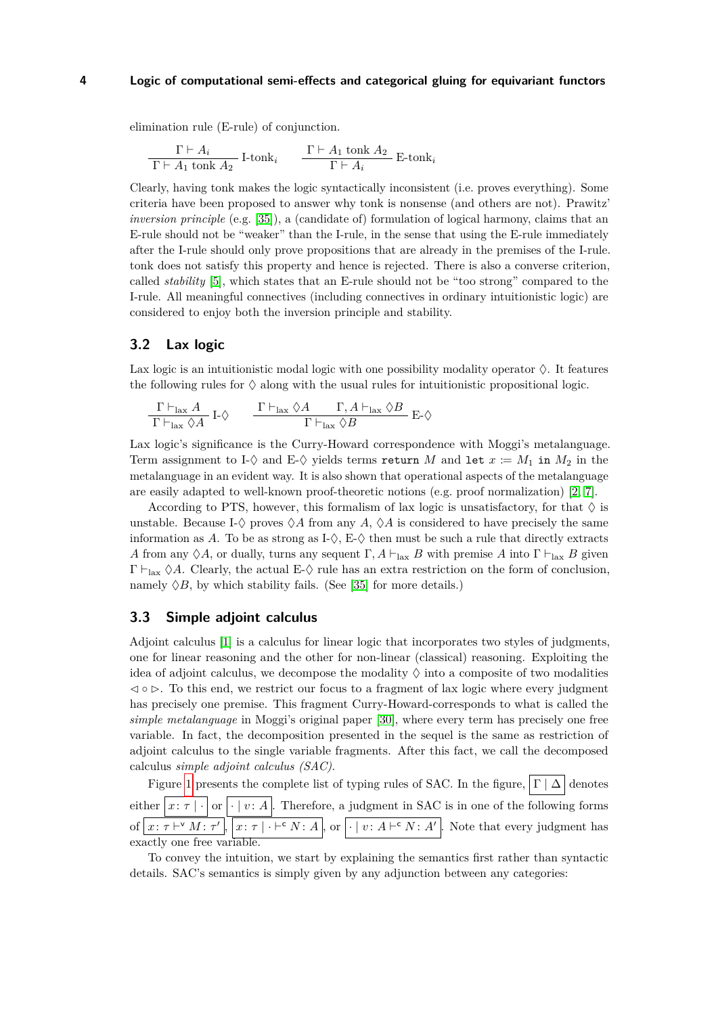elimination rule (E-rule) of conjunction.

$$
\frac{\Gamma \vdash A_i}{\Gamma \vdash A_1 \tanh A_2} \text{ I-tonk}_i \qquad \frac{\Gamma \vdash A_1 \tanh A_2}{\Gamma \vdash A_i} \text{ E-tonk}_i
$$

Clearly, having tonk makes the logic syntactically inconsistent (i.e. proves everything). Some criteria have been proposed to answer why tonk is nonsense (and others are not). Prawitz' *inversion principle* (e.g. [\[35\]](#page-16-12)), a (candidate of) formulation of logical harmony, claims that an E-rule should not be "weaker" than the I-rule, in the sense that using the E-rule immediately after the I-rule should only prove propositions that are already in the premises of the I-rule. tonk does not satisfy this property and hence is rejected. There is also a converse criterion, called *stability* [\[5\]](#page-15-5), which states that an E-rule should not be "too strong" compared to the I-rule. All meaningful connectives (including connectives in ordinary intuitionistic logic) are considered to enjoy both the inversion principle and stability.

## **3.2 Lax logic**

Lax logic is an intuitionistic modal logic with one possibility modality operator  $\Diamond$ . It features the following rules for  $\Diamond$  along with the usual rules for intuitionistic propositional logic.

$$
\frac{\Gamma\vdash_{\text{lax}} A}{\Gamma\vdash_{\text{lax}}\Diamond A}\; \mathrm{I}\textrm{-}\Diamond \qquad \frac{\Gamma\vdash_{\text{lax}} \Diamond A \qquad \Gamma, A\vdash_{\text{lax}} \Diamond B}{\Gamma\vdash_{\text{lax}} \Diamond B}\; \mathrm{E}\textrm{-}\Diamond
$$

Lax logic's significance is the Curry-Howard correspondence with Moggi's metalanguage. Term assignment to I- $\diamond$  and E- $\diamond$  yields terms return *M* and let  $x := M_1$  in  $M_2$  in the metalanguage in an evident way. It is also shown that operational aspects of the metalanguage are easily adapted to well-known proof-theoretic notions (e.g. proof normalization) [\[2,](#page-15-1) [7\]](#page-15-0).

According to PTS, however, this formalism of lax logic is unsatisfactory, for that  $\Diamond$  is unstable. Because I- $\Diamond$  proves  $\Diamond A$  from any A,  $\Diamond A$  is considered to have precisely the same information as A. To be as strong as  $I-\Diamond$ ,  $E-\Diamond$  then must be such a rule that directly extracts *A* from any  $\Diamond A$ , or dually, turns any sequent  $\Gamma$ ,  $A \vdash_{\text{lax}} B$  with premise  $A$  into  $\Gamma \vdash_{\text{lax}} B$  given  $\Gamma \vdash_{\text{tax}} \Diamond A$ . Clearly, the actual E- $\Diamond$  rule has an extra restriction on the form of conclusion, namely  $\Diamond B$ , by which stability fails. (See [\[35\]](#page-16-12) for more details.)

## **3.3 Simple adjoint calculus**

Adjoint calculus [\[1\]](#page-15-3) is a calculus for linear logic that incorporates two styles of judgments, one for linear reasoning and the other for non-linear (classical) reasoning. Exploiting the idea of adjoint calculus, we decompose the modality  $\Diamond$  into a composite of two modalities  $\leq \circ \infty$ . To this end, we restrict our focus to a fragment of lax logic where every judgment has precisely one premise. This fragment Curry-Howard-corresponds to what is called the *simple metalanguage* in Moggi's original paper [\[30\]](#page-16-1), where every term has precisely one free variable. In fact, the decomposition presented in the sequel is the same as restriction of adjoint calculus to the single variable fragments. After this fact, we call the decomposed calculus *simple adjoint calculus (SAC)*.

Figure [1](#page-4-0) presents the complete list of typing rules of SAC. In the figure,  $|\Gamma| \Delta$  denotes either  $\boxed{x:\tau\mid\cdot}$  or  $\boxed{\cdot\mid v:A}$ . Therefore, a judgment in SAC is in one of the following forms of  $|x: \tau \vdash^{\vee} M: \tau' |, |x: \tau | \cdot \vdash^{\mathsf{c}} N: A |, \text{ or } | \cdot | v: A \vdash^{\mathsf{c}} N: A' |$ . Note that every judgment has exactly one free variable.

To convey the intuition, we start by explaining the semantics first rather than syntactic details. SAC's semantics is simply given by any adjunction between any categories: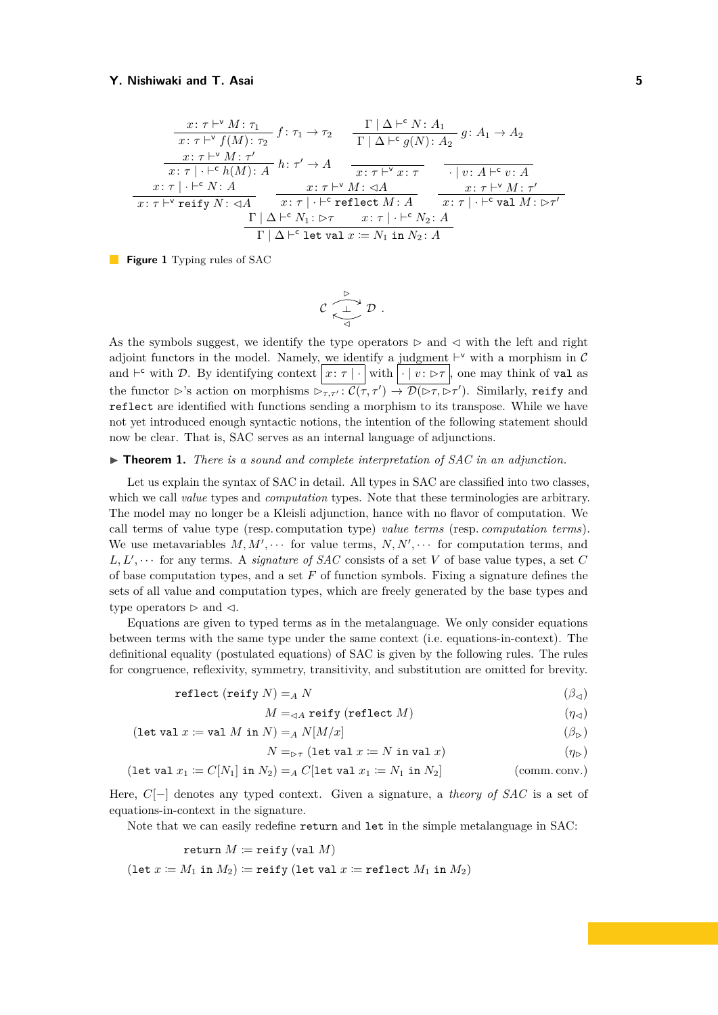<span id="page-4-0"></span>
$$
\frac{x:\tau\vdash^{v}M:\tau_{1}}{x:\tau\vdash^{v}f(M):\tau_{2}}f:\tau_{1}\to\tau_{2}\qquad\frac{\Gamma|\Delta\vdash^{c}N:A_{1}}{\Gamma|\Delta\vdash^{c}g(N):A_{2}}g:A_{1}\to A_{2}
$$
\n
$$
\frac{x:\tau\vdash^{v}M:\tau'}{x:\tau|\cdot\vdash^{c}h(M):A}h:\tau'\to A\qquad\frac{x:\tau\vdash^{v}x:\tau}{x:\tau\vdash^{v}x:\tau}\qquad\frac{\cdot|v:A\vdash^{c}v:A}{|v:A\vdash^{c}v:A}
$$
\n
$$
\frac{x:\tau|\cdot\vdash^{c}N:A}{x:\tau\vdash^{v}\mathbf{reify}\ N:\lhd A}\qquad\frac{x:\tau\vdash^{v}M:\lhd A}{x:\tau|\cdot\vdash^{c}\mathbf{reflect}\ M:\ A}\qquad\frac{x:\tau\vdash^{v}M:\tau'}{x:\tau|\cdot\vdash^{c}\mathbf{val}\ M:\rhd\tau'}
$$
\n
$$
\frac{\Gamma|\Delta\vdash^{c}N_{1}:\rhd\tau}{\Gamma|\Delta\vdash^{c}\mathbf{let}\ \mathbf{val}\ x:=N_{1}\ \mathbf{in}\ N_{2}:A}
$$

**Figure 1** Typing rules of SAC

$$
\mathcal{C} \xrightarrow[\mathcal{A}]{\mathcal{D}} \mathcal{D}.
$$

As the symbols suggest, we identify the type operators  $\triangleright$  and  $\triangleleft$  with the left and right adjoint functors in the model. Namely, we identify a judgment  $\vdash^{\vee}$  with a morphism in C and  $\vdash^c$  with D. By identifying context  $x:\tau | \cdot |$  with  $| \cdot | v:\rhd \tau |$ , one may think of val as the functor  $\triangleright$ 's action on morphisms  $\triangleright_{\tau,\tau'} : \mathcal{C}(\tau,\tau') \to \mathcal{D}(\triangleright_{\tau},\triangleright_{\tau'})$ . Similarly, reify and reflect are identified with functions sending a morphism to its transpose. While we have not yet introduced enough syntactic notions, the intention of the following statement should now be clear. That is, SAC serves as an internal language of adjunctions.

#### $\triangleright$  **Theorem 1.** *There is a sound and complete interpretation of SAC in an adjunction.*

Let us explain the syntax of SAC in detail. All types in SAC are classified into two classes, which we call *value* types and *computation* types. Note that these terminologies are arbitrary. The model may no longer be a Kleisli adjunction, hance with no flavor of computation. We call terms of value type (resp. computation type) *value terms* (resp. *computation terms*). We use metavariables  $M, M', \cdots$  for value terms,  $N, N', \cdots$  for computation terms, and  $L, L', \cdots$  for any terms. A *signature of SAC* consists of a set *V* of base value types, a set *C* of base computation types, and a set *F* of function symbols. Fixing a signature defines the sets of all value and computation types, which are freely generated by the base types and type operators  $\triangleright$  and  $\triangleleft$ .

Equations are given to typed terms as in the metalanguage. We only consider equations between terms with the same type under the same context (i.e. equations-in-context). The definitional equality (postulated equations) of SAC is given by the following rules. The rules for congruence, reflexivity, symmetry, transitivity, and substitution are omitted for brevity.

$$
\text{reflect } (\text{reify } N) =_A N \tag{3}_{\triangleleft}
$$

$$
M =_{\lhd A} \text{reify (reflect } M) \tag{1.4}
$$

$$
(\text{let val } x \coloneqq \text{val } M \text{ in } N) =_A N[M/x] \tag{3} \beta
$$

$$
N =_{\triangleright \tau} (\text{let val } x \coloneqq N \text{ in val } x) \tag{$\eta_{\triangleright}$}
$$

$$
(\text{let val } x_1 \coloneqq C[N_1] \text{ in } N_2) =_A C[\text{let val } x_1 \coloneqq N_1 \text{ in } N_2] \tag{comm. conv.}
$$

Here, *C*[−] denotes any typed context. Given a signature, a *theory of SAC* is a set of equations-in-context in the signature.

Note that we can easily redefine return and let in the simple metalanguage in SAC:

$$
\text{return } M \coloneqq \text{reify (val } M) \\ \text{(let } x \coloneqq M_1 \text{ in } M_2) \coloneqq \text{reify (let val } x \coloneqq \text{reflect } M_1 \text{ in } M_2)
$$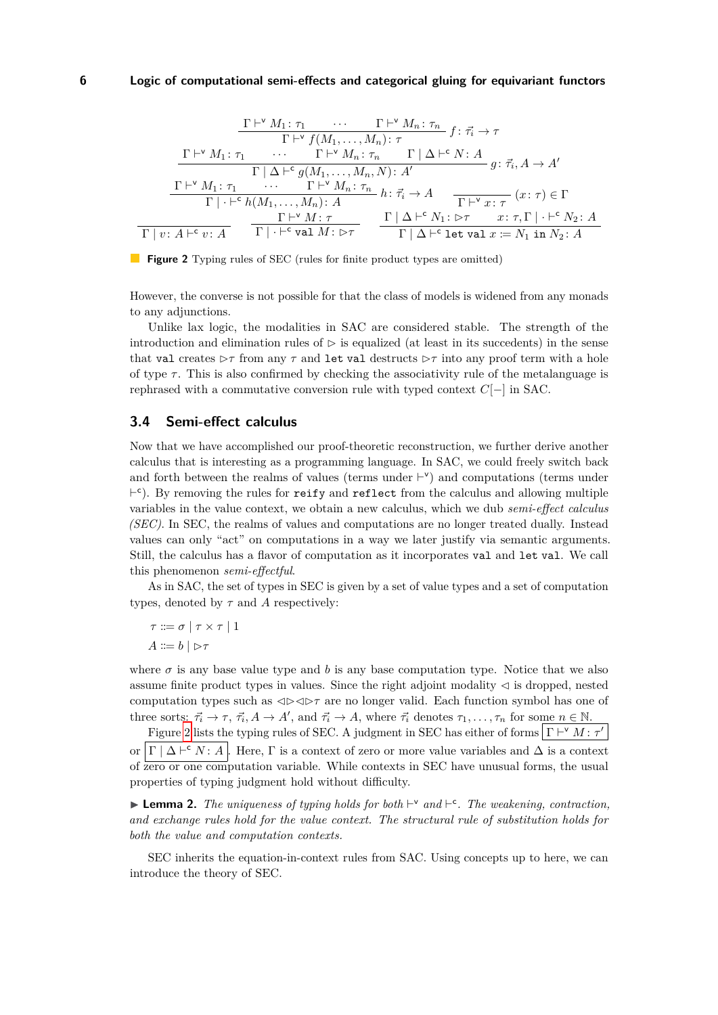<span id="page-5-0"></span>
$$
\frac{\Gamma\vdash^{v} M_{1}:\tau_{1} \cdots \Gamma\vdash^{v} M_{n}:\tau_{n}}{\Gamma\vdash^{v} f(M_{1},\ldots,M_{n}):\tau}
$$
\n
$$
\frac{\Gamma\vdash^{v} M_{1}:\tau_{1} \cdots \Gamma\vdash^{v} M_{n}:\tau_{n} \Gamma|\Delta\vdash^{c} N:A}{\Gamma|\Delta\vdash^{c} g(M_{1},\ldots,M_{n},N):\,A'}g:\vec{\tau}_{i},A\to A'
$$
\n
$$
\frac{\Gamma\vdash^{v} M_{1}:\tau_{1} \cdots \Gamma\vdash^{v} M_{n}:\tau_{n}}{\Gamma|\cdot\vdash^{c} h(M_{1},\ldots,M_{n}):\,A}h:\vec{\tau}_{i}\to A \qquad \frac{\Gamma\vdash^{v} x:\tau}{\Gamma\vdash^{v} x:\tau}(x:\tau)\in\Gamma
$$
\n
$$
\frac{\Gamma\vdash^{v} M:\tau}{\Gamma|\cdot\vdash^{c} \text{val }M:\,\triangleright\tau} \qquad \frac{\Gamma|\Delta\vdash^{c} N_{1}:\,\triangleright\tau \quad x:\tau,\Gamma|\cdot\vdash^{c} N_{2}:\,A}{\Gamma|\Delta\vdash^{c} \text{let val }x:=N_{1} \text{ in }N_{2}:\,A}
$$

**Figure 2** Typing rules of SEC (rules for finite product types are omitted)

However, the converse is not possible for that the class of models is widened from any monads to any adjunctions.

Unlike lax logic, the modalities in SAC are considered stable. The strength of the introduction and elimination rules of  $\triangleright$  is equalized (at least in its succedents) in the sense that val creates  $\rhd \tau$  from any  $\tau$  and let val destructs  $\rhd \tau$  into any proof term with a hole of type  $\tau$ . This is also confirmed by checking the associativity rule of the metalanguage is rephrased with a commutative conversion rule with typed context *C*[−] in SAC.

## **3.4 Semi-effect calculus**

Now that we have accomplished our proof-theoretic reconstruction, we further derive another calculus that is interesting as a programming language. In SAC, we could freely switch back and forth between the realms of values (terms under  $\vdash^{\vee}$ ) and computations (terms under  $\vdash$ <sup>c</sup>). By removing the rules for reify and reflect from the calculus and allowing multiple variables in the value context, we obtain a new calculus, which we dub *semi-effect calculus (SEC)*. In SEC, the realms of values and computations are no longer treated dually. Instead values can only "act" on computations in a way we later justify via semantic arguments. Still, the calculus has a flavor of computation as it incorporates val and let val. We call this phenomenon *semi-effectful*.

As in SAC, the set of types in SEC is given by a set of value types and a set of computation types, denoted by  $\tau$  and  $\tilde{A}$  respectively:

$$
\tau ::= \sigma \mid \tau \times \tau \mid 1
$$

$$
A ::= b \mid \rhd \tau
$$

where  $\sigma$  is any base value type and *b* is any base computation type. Notice that we also assume finite product types in values. Since the right adjoint modality  $\triangleleft$  is dropped, nested computation types such as  $\triangleleft\triangleright\triangleleft\triangleright\tau$  are no longer valid. Each function symbol has one of three sorts:  $\vec{\tau}_i \to \tau$ ,  $\vec{\tau}_i$ ,  $A \to A'$ , and  $\vec{\tau}_i \to A$ , where  $\vec{\tau}_i$  denotes  $\tau_1, \ldots, \tau_n$  for some  $n \in \mathbb{N}$ .

Figure [2](#page-5-0) lists the typing rules of SEC. A judgment in SEC has either of forms  $\Gamma \vdash^{\vee} M : \tau'$ or  $\Gamma \mid \Delta \vdash^c N : A$ . Here,  $\Gamma$  is a context of zero or more value variables and  $\Delta$  is a context of zero or one computation variable. While contexts in SEC have unusual forms, the usual properties of typing judgment hold without difficulty.

**Lemma 2.** The uniqueness of typing holds for both  $\vdash^{\vee}$  and  $\vdash^{\mathsf{c}}$ . The weakening, contraction, *and exchange rules hold for the value context. The structural rule of substitution holds for both the value and computation contexts.*

SEC inherits the equation-in-context rules from SAC. Using concepts up to here, we can introduce the theory of SEC.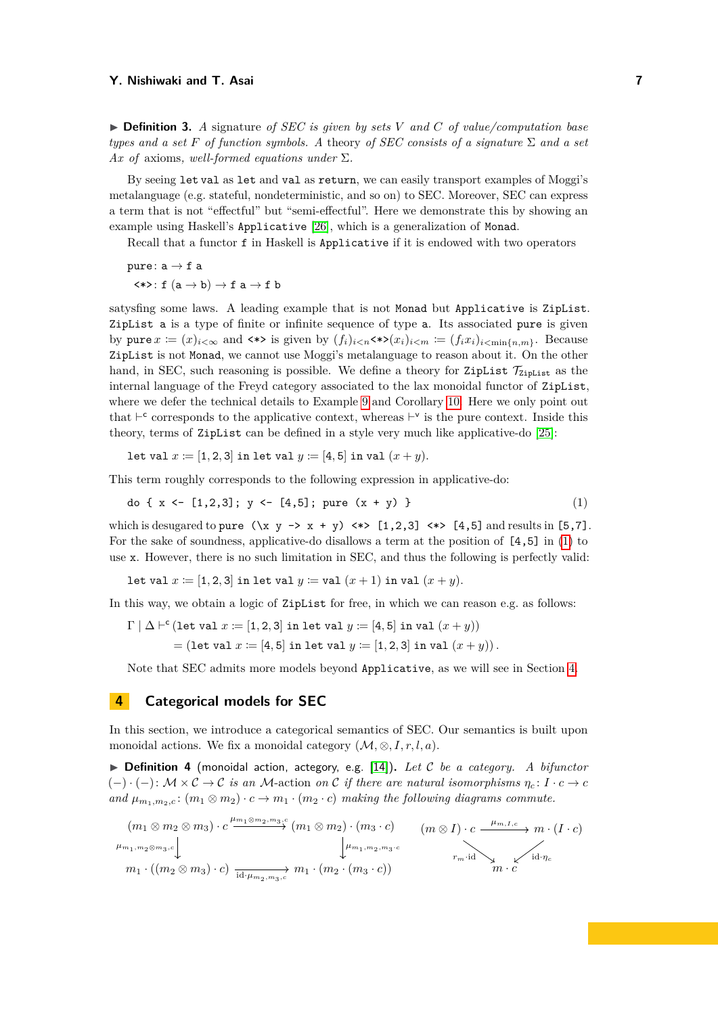$\triangleright$  **Definition 3.** A signature of SEC is given by sets V and C of value/computation base *types and a set*  $F$  *of function symbols.* A theory *of SEC consists of a signature*  $\Sigma$  *and a set Ax of* axioms*, well-formed equations under* Σ*.*

By seeing let val as let and val as return, we can easily transport examples of Moggi's metalanguage (e.g. stateful, nondeterministic, and so on) to SEC. Moreover, SEC can express a term that is not "effectful" but "semi-effectful". Here we demonstrate this by showing an example using Haskell's Applicative [\[26\]](#page-16-13), which is a generalization of Monad.

Recall that a functor f in Haskell is Applicative if it is endowed with two operators

pure:  $a \rightarrow f a$  $\langle * \rangle$ : f  $(a \rightarrow b) \rightarrow f a \rightarrow f b$ 

satysfing some laws. A leading example that is not Monad but Applicative is ZipList. ZipList a is a type of finite or infinite sequence of type a. Its associated pure is given by pure  $x := (x)_{i < \infty}$  and  $\langle * \rangle$  is given by  $(f_i)_{i < n} \langle * \rangle (x_i)_{i < m} := (f_i x_i)_{i < \min\{n, m\}}$ . Because ZipList is not Monad, we cannot use Moggi's metalanguage to reason about it. On the other hand, in SEC, such reasoning is possible. We define a theory for ZipList  $\mathcal{T}_{\text{ZipList}}$  as the internal language of the Freyd category associated to the lax monoidal functor of ZipList, where we defer the technical details to Example [9](#page-8-0) and Corollary [10.](#page-8-1) Here we only point out that  $\vdash^c$  corresponds to the applicative context, whereas  $\vdash^v$  is the pure context. Inside this theory, terms of ZipList can be defined in a style very much like applicative-do [\[25\]](#page-15-19):

<span id="page-6-0"></span>let val  $x := [1, 2, 3]$  in let val  $y := [4, 5]$  in val  $(x + y)$ .

This term roughly corresponds to the following expression in applicative-do:

$$
do \{ x \leq [1,2,3]; y \leq [4,5]; pure (x + y) \}
$$
 (1)

which is desugared to pure  $(\x y \rightarrow x + y) \Leftrightarrow [1,2,3] \Leftrightarrow [4,5]$  and results in [5,7]. For the sake of soundness, applicative-do disallows a term at the position of [4,5] in [\(1\)](#page-6-0) to use x. However, there is no such limitation in SEC, and thus the following is perfectly valid:

let val  $x := [1, 2, 3]$  in let val  $y :=$  val  $(x + 1)$  in val  $(x + y)$ .

In this way, we obtain a logic of ZipList for free, in which we can reason e.g. as follows:

$$
\Gamma \mid \Delta \vdash^{c} (\text{let val } x := [1, 2, 3] \text{ in let val } y := [4, 5] \text{ in val } (x + y))
$$

$$
= (\text{let val } x := [4, 5] \text{ in let val } y := [1, 2, 3] \text{ in val } (x + y)).
$$

Note that SEC admits more models beyond Applicative, as we will see in Section [4.](#page-6-1)

## <span id="page-6-1"></span>**4 Categorical models for SEC**

In this section, we introduce a categorical semantics of SEC. Our semantics is built upon monoidal actions. We fix a monoidal category  $(\mathcal{M}, \otimes, I, r, l, a)$ .

▶ **Definition 4** (monoidal action, actegory, e.g. [\[14\]](#page-15-20)). Let C be a category. A bifunctor  $(-) \cdot (-) : \mathcal{M} \times \mathcal{C} \rightarrow \mathcal{C}$  *is an*  $\mathcal{M}$ -action *on*  $\mathcal{C}$  *if there are natural isomorphisms*  $\eta_c : I \cdot c \rightarrow c$ *and*  $\mu_{m_1,m_2,c}: (m_1 \otimes m_2) \cdot c \rightarrow m_1 \cdot (m_2 \cdot c)$  *making the following diagrams commute.* 

$$
(m_1 \otimes m_2 \otimes m_3) \cdot c \xrightarrow{\mu_{m_1, m_2, m_3, c}} (m_1 \otimes m_2) \cdot (m_3 \cdot c) \qquad (m \otimes I) \cdot c \xrightarrow{\mu_{m, I, c}} m \cdot (I \cdot c)
$$
  

$$
\downarrow^{\mu_{m_1, m_2, m_3, c}} \qquad (m_1 \otimes I) \cdot c \xrightarrow{\mu_{m, I, c}} m \cdot (I \cdot c)
$$
  

$$
m_1 \cdot ((m_2 \otimes m_3) \cdot c) \xrightarrow{\text{id} \cdot \mu_{m_2, m_3, c}} m_1 \cdot (m_2 \cdot (m_3 \cdot c)) \qquad m \cdot c \qquad (m \otimes I) \cdot c \xrightarrow{\mu_{m, I, c}} m \cdot (I \cdot c)
$$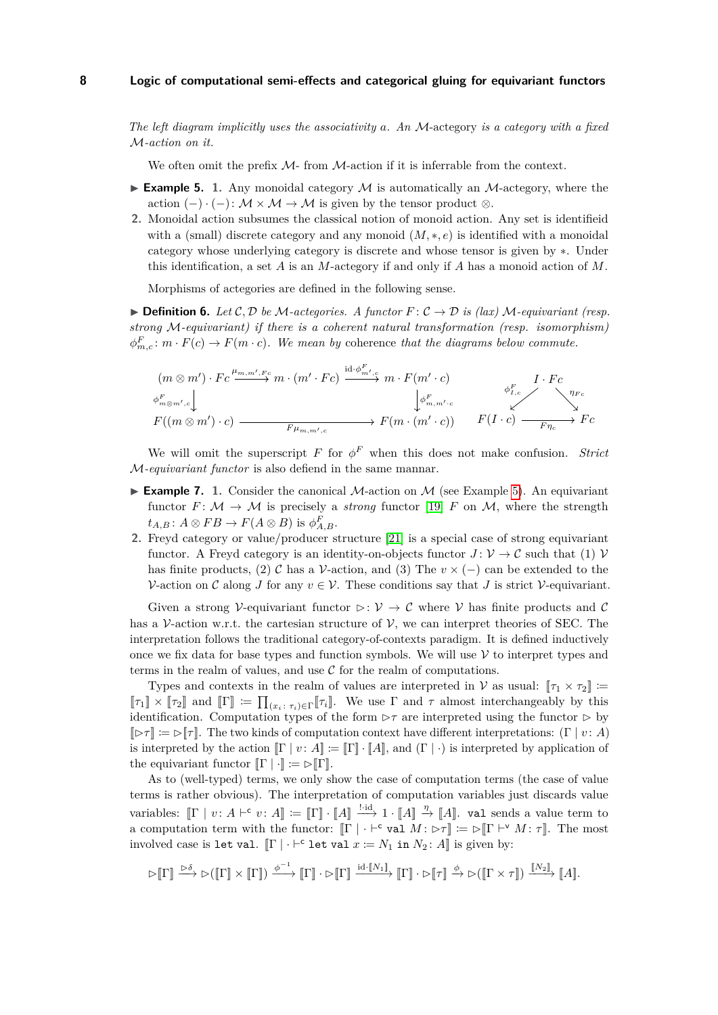*The left diagram implicitly uses the associativity a. An* M-actegory *is a category with a fixed* M*-action on it.*

We often omit the prefix  $M$ - from  $M$ -action if it is inferrable from the context.

- <span id="page-7-0"></span>**Example 5.** 1. Any monoidal category  $M$  is automatically an  $M$ -actegory, where the action  $(-) \cdot (-) \colon \mathcal{M} \times \mathcal{M} \to \mathcal{M}$  is given by the tensor product  $\otimes$ .
- **2.** Monoidal action subsumes the classical notion of monoid action. Any set is identifieid with a (small) discrete category and any monoid  $(M, *, e)$  is identified with a monoidal category whose underlying category is discrete and whose tensor is given by ∗. Under this identification, a set *A* is an *M*-actegory if and only if *A* has a monoid action of *M*.

Morphisms of actegories are defined in the following sense.

**▶ Definition 6.** *Let*  $C$ *,*  $D$  *be*  $M$ *-actegories. A functor*  $F$  :  $C$  →  $D$  *is (lax)*  $M$ *-equivariant (resp. strong* M*-equivariant) if there is a coherent natural transformation (resp. isomorphism)*  $\phi_{m,c}^F$ :  $m \cdot F(c) \rightarrow F(m \cdot c)$ *. We mean by coherence that the diagrams below commute.* 

$$
(m \otimes m') \cdot Fc \xrightarrow{\mu_{m,m',F^c}} m \cdot (m' \cdot Fc) \xrightarrow{\text{id} \cdot \phi_{m',c}^F} m \cdot F(m' \cdot c) \xrightarrow{\phi_{m,m',c}^F} I \cdot Fc
$$
  

$$
\downarrow \phi_{m,m',c}^F
$$
  

$$
F((m \otimes m') \cdot c) \xrightarrow{\mu_{m,m',c}} F(m \cdot (m' \cdot c)) \qquad F(I \cdot c) \xrightarrow{\mu_{Fc}} Fc
$$

We will omit the superscript *F* for  $\phi^F$  when this does not make confusion. *Strict* M*-equivariant functor* is also defiend in the same mannar.

- <span id="page-7-1"></span>**Example 7.** 1. Consider the canonical M-action on  $M$  (see Example [5\)](#page-7-0). An equivariant functor  $F: \mathcal{M} \to \mathcal{M}$  is precisely a *strong* functor [\[19\]](#page-15-21)  $F$  on  $\mathcal{M}$ , where the strength  $t_{A,B}$ :  $A \otimes FB \to F(A \otimes B)$  is  $\phi_{A,B}^F$ .
- **2.** Freyd category or value/producer structure [\[21\]](#page-15-8) is a special case of strong equivariant functor. A Freyd category is an identity-on-objects functor  $J: \mathcal{V} \to \mathcal{C}$  such that (1)  $\mathcal{V}$ has finite products, (2) C has a V-action, and (3) The  $v \times (-)$  can be extended to the V-action on C along *J* for any  $v \in V$ . These conditions say that *J* is strict V-equivariant.

Given a strong V-equivariant functor  $\triangleright : \mathcal{V} \to \mathcal{C}$  where V has finite products and C has a V-action w.r.t. the cartesian structure of  $V$ , we can interpret theories of SEC. The interpretation follows the traditional category-of-contexts paradigm. It is defined inductively once we fix data for base types and function symbols. We will use  $V$  to interpret types and terms in the realm of values, and use  $\mathcal C$  for the realm of computations.

Types and contexts in the realm of values are interpreted in V as usual:  $[\tau_1 \times \tau_2]$  :=  $[\![\tau_1]\!] \times [\![\tau_2]\!]$  and  $[\![\Gamma]\!] := \prod_{(x_i \colon \tau_i) \in \Gamma} [\![\tau_i]\!]$ . We use  $\Gamma$  and  $\tau$  almost interchangeably by this identification. Computation types of the form  $\triangleright \tau$  are interpreted using the functor  $\triangleright$  by  $[\triangleright \tau] \coloneqq \triangleright [\tau]$ . The two kinds of computation context have different interpretations: (Γ | *v* : *A*) is interpreted by the action  $[\Gamma | v : A] := [\Gamma | \cdot [A],$  and  $(\Gamma | \cdot)$  is interpreted by application of the equivariant functor  $[\![\Gamma\!] \cdot ]\!] \coloneqq \triangleright [\![\Gamma\!]$ .

As to (well-typed) terms, we only show the case of computation terms (the case of value terms is rather obvious). The interpretation of computation variables just discards value variables:  $[\![\Gamma \mid v : A \vdash^c v : A]\!] := [\![\Gamma]\!] \cdot [\![A]\!] \xrightarrow{!} 1 \cdot [\![A]\!] \xrightarrow{\eta} [\![A]\!]$ . val sends a value term to a computation term with the functor:  $[\![\Gamma]\!] \cdot \vdash^c \text{val } M \colon \triangleright \tau] \coloneqq \triangleright [\![\Gamma \vdash^{\vee} M \colon \tau]\!]$ . The most involved case is let val.  $[\![\Gamma]\!] \cdot {\vdash^c}$  let val  $x \coloneqq N_1$  in  $N_2 \colon A \rrbracket$  is given by:

$$
\triangleright \llbracket \Gamma \rrbracket \xrightarrow{\triangleright \delta} \triangleright (\llbracket \Gamma \rrbracket \times \llbracket \Gamma \rrbracket) \xrightarrow{\phi^{-1}} \llbracket \Gamma \rrbracket \cdot \triangleright \llbracket \Gamma \rrbracket \xrightarrow{\mathrm{id} \cdot \llbracket N_1 \rrbracket} \llbracket \Gamma \rrbracket \cdot \triangleright \llbracket \tau \rrbracket \xrightarrow{\phi} \triangleright (\llbracket \Gamma \times \tau \rrbracket) \xrightarrow{\llbracket N_2 \rrbracket} \llbracket A \rrbracket.
$$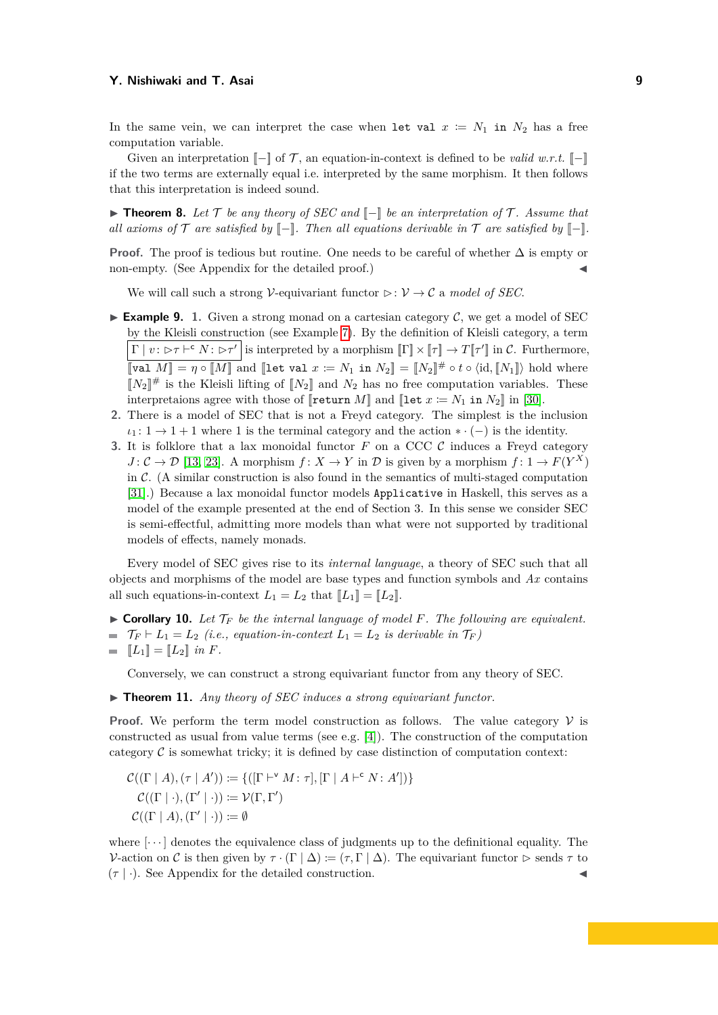In the same vein, we can interpret the case when let val  $x := N_1$  in  $N_2$  has a free computation variable.

Given an interpretation  $\llbracket - \rrbracket$  of T, an equation-in-context is defined to be *valid w.r.t.*  $\llbracket - \rrbracket$ if the two terms are externally equal i.e. interpreted by the same morphism. It then follows that this interpretation is indeed sound.

<span id="page-8-4"></span>**► Theorem 8.** Let  $\mathcal{T}$  be any theory of SEC and  $\mathcal{T}$  be an interpretation of  $\mathcal{T}$ . Assume that *all axioms of*  $\mathcal T$  *are satisfied by*  $[-]$ *. Then all equations derivable in*  $\mathcal T$  *are satisfied by*  $[-]$ *.* 

Proof. The proof is tedious but routine. One needs to be careful of whether  $\Delta$  is empty or non-empty. (See Appendix for the detailed proof.)

We will call such a strong *V*-equivariant functor  $\triangleright : V \to C$  a *model of SEC*.

- <span id="page-8-0"></span>**Example 9.** 1. Given a strong monad on a cartesian category  $\mathcal{C}$ , we get a model of SEC by the Kleisli construction (see Example [7\)](#page-7-1). By the definition of Kleisli category, a term  $\Gamma | v : \triangleright \tau \vdash^{\mathsf{c}} N : \triangleright \tau' |$  is interpreted by a morphism  $\llbracket \Gamma \rrbracket \times \llbracket \tau \rrbracket \to T \llbracket \tau' \rrbracket$  in C. Furthermore,  $[\![\text{val } M]\!] = \eta \circ [\![M]\!]$  and  $[\![\text{let val } x := N_1 \text{ in } N_2]\!] = [\![N_2]\!] \# \circ t \circ \langle \text{id}, [\![N_1]\!] \rangle$  hold where  $[N_2]^{\#}$  is the Kleisli lifting of  $[N_2]$  and  $N_2$  has no free computation variables. These interpretaions agree with those of  $\left[\text{return } M\right]$  and  $\left[\text{let } x := N_1 \text{ in } N_2\right]$  in [\[30\]](#page-16-1).
- **2.** There is a model of SEC that is not a Freyd category. The simplest is the inclusion  $\iota_1: 1 \to 1 + 1$  where 1 is the terminal category and the action  $\ast \cdot (-)$  is the identity.
- <span id="page-8-5"></span>**3.** It is folklore that a lax monoidal functor  $F$  on a CCC  $C$  induces a Freyd category  $J: \mathcal{C} \to \mathcal{D}$  [\[13,](#page-15-22) [23\]](#page-15-23). A morphism  $f: X \to Y$  in  $\mathcal{D}$  is given by a morphism  $f: 1 \to F(Y^X)$ in  $\mathcal{C}$ . (A similar construction is also found in the semantics of multi-staged computation [\[31\]](#page-16-7).) Because a lax monoidal functor models Applicative in Haskell, this serves as a model of the example presented at the end of Section 3. In this sense we consider SEC is semi-effectful, admitting more models than what were not supported by traditional models of effects, namely monads.

Every model of SEC gives rise to its *internal language*, a theory of SEC such that all objects and morphisms of the model are base types and function symbols and *Ax* contains all such equations-in-context  $L_1 = L_2$  that  $[[L_1]] = [[L_2]]$ .

<span id="page-8-1"></span> $\triangleright$  **Corollary 10.** Let  $\mathcal{T}_F$  be the internal language of model F. The following are equivalent.  $\mathcal{T}_F \vdash L_1 = L_2$  *(i.e., equation-in-context*  $L_1 = L_2$  *is derivable in*  $\mathcal{T}_F$ *)* 

$$
\quad \blacksquare \quad \llbracket L_1 \rrbracket = \llbracket L_2 \rrbracket \quad \text{in } F.
$$

Conversely, we can construct a strong equivariant functor from any theory of SEC.

<span id="page-8-2"></span> $\triangleright$  **Theorem 11.** *Any theory of SEC induces a strong equivariant functor.* 

**Proof.** We perform the term model construction as follows. The value category  $V$  is constructed as usual from value terms (see e.g. [\[4\]](#page-15-9)). The construction of the computation category  $\mathcal C$  is somewhat tricky; it is defined by case distinction of computation context:

$$
C((\Gamma \mid A), (\tau \mid A')) \coloneqq \{([\Gamma \vdash^{\vee} M : \tau], [\Gamma \mid A \vdash^{\mathsf{c}} N : A'])\}
$$
  

$$
C((\Gamma \mid \cdot), (\Gamma' \mid \cdot)) \coloneqq \mathcal{V}(\Gamma, \Gamma')
$$
  

$$
C((\Gamma \mid A), (\Gamma' \mid \cdot)) \coloneqq \emptyset
$$

<span id="page-8-3"></span>where  $[\cdots]$  denotes the equivalence class of judgments up to the definitional equality. The V-action on C is then given by  $\tau \cdot (\Gamma | \Delta) := (\tau, \Gamma | \Delta)$ . The equivariant functor  $\triangleright$  sends  $\tau$  to  $(\tau | \cdot)$ . See Appendix for the detailed construction.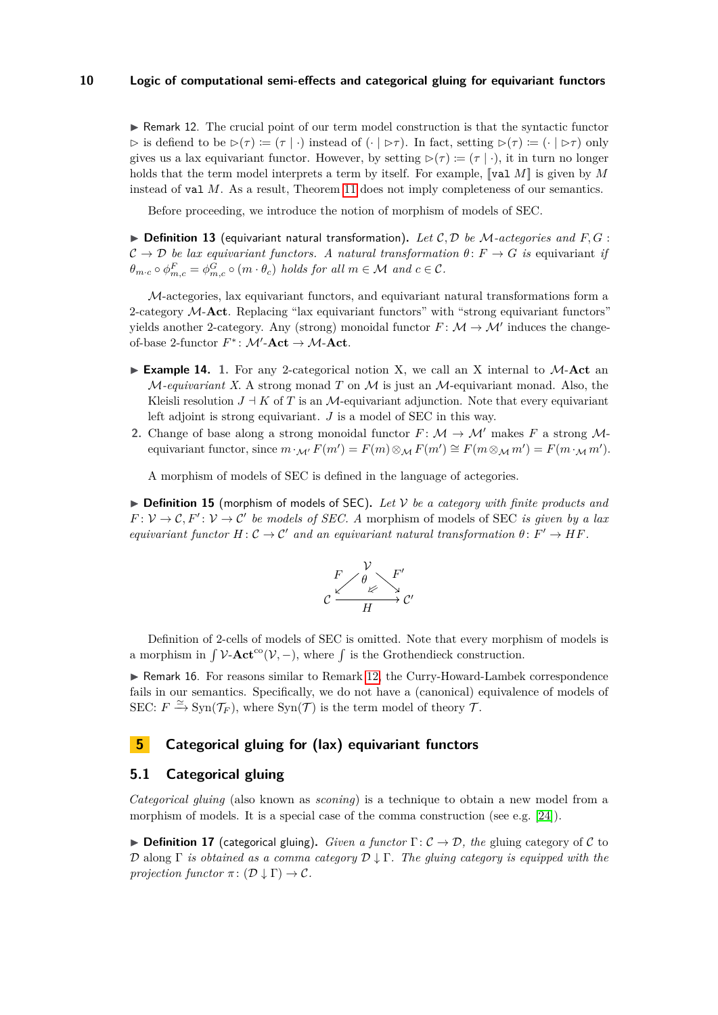$\triangleright$  Remark 12. The crucial point of our term model construction is that the syntactic functor  $\triangleright$  is defiend to be  $\triangleright(\tau) := (\tau | \cdot)$  instead of  $(\cdot | \triangleright\tau)$ . In fact, setting  $\triangleright(\tau) := (\cdot | \triangleright\tau)$  only gives us a lax equivariant functor. However, by setting  $D(\tau) := (\tau | \cdot)$ , it in turn no longer holds that the term model interprets a term by itself. For example, [[val *M*]] is given by *M* instead of val *M*. As a result, Theorem [11](#page-8-2) does not imply completeness of our semantics.

Before proceeding, we introduce the notion of morphism of models of SEC.

 $\triangleright$  **Definition 13** (equivariant natural transformation). Let C, D be M-actegories and F, G :  $\mathcal{C} \to \mathcal{D}$  *be lax equivariant functors. A natural transformation*  $\theta: F \to G$  *is* equivariant *if*  $\theta_{m \cdot c} \circ \phi_{m, c}^F = \phi_{m, c}^G \circ (m \cdot \theta_c)$  *holds for all*  $m \in \mathcal{M}$  *and*  $c \in \mathcal{C}$ *.* 

M-actegories, lax equivariant functors, and equivariant natural transformations form a 2-category M-**Act**. Replacing "lax equivariant functors" with "strong equivariant functors" yields another 2-category. Any (strong) monoidal functor  $F: \mathcal{M} \to \mathcal{M}'$  induces the changeof-base 2-functor  $F^*$ :  $\mathcal{M}'$ -**Act**  $\rightarrow \mathcal{M}$ -**Act**.

- <span id="page-9-1"></span>**Example 14.** 1. For any 2-categorical notion X, we call an X internal to  $M$ -Act an M*-equivariant X*. A strong monad *T* on M is just an M-equivariant monad. Also, the Kleisli resolution  $J \perp K$  of *T* is an *M*-equivariant adjunction. Note that every equivariant left adjoint is strong equivariant. *J* is a model of SEC in this way.
- **2.** Change of base along a strong monoidal functor  $F: \mathcal{M} \to \mathcal{M}'$  makes  $F$  a strong  $\mathcal{M}$ equivariant functor, since  $m \cdot_{\mathcal{M}'} F(m') = F(m) \otimes_{\mathcal{M}} F(m') \cong F(m \otimes_{\mathcal{M}} m') = F(m \cdot_{\mathcal{M}} m')$ .

A morphism of models of SEC is defined in the language of actegories.

<span id="page-9-2"></span> $\triangleright$  **Definition 15** (morphism of models of SEC). Let V be a category with finite products and  $F: V \to C$ ,  $F': V \to C'$  *be models of SEC. A* morphism of models of SEC *is given by a lax equivariant functor*  $H: \mathcal{C} \to \mathcal{C}'$  *and an equivariant natural transformation*  $\theta: F' \to HF$ .



Definition of 2-cells of models of SEC is omitted. Note that every morphism of models is a morphism in  $\int \mathcal{V}\text{-}\mathbf{Act}^{\text{co}}(\mathcal{V}, -)$ , where  $\int$  is the Grothendieck construction.

<span id="page-9-0"></span>► Remark 16. For reasons similar to Remark [12,](#page-8-3) the Curry-Howard-Lambek correspondence fails in our semantics. Specifically, we do not have a (canonical) equivalence of models of SEC:  $F \xrightarrow{\simeq} \text{Syn}(\mathcal{T}_F)$ , where  $\text{Syn}(\mathcal{T})$  is the term model of theory  $\mathcal{T}$ .

## **5 Categorical gluing for (lax) equivariant functors**

## **5.1 Categorical gluing**

*Categorical gluing* (also known as *sconing*) is a technique to obtain a new model from a morphism of models. It is a special case of the comma construction (see e.g. [\[24\]](#page-15-24)).

**Definition 17** (categorical gluing). *Given a functor*  $\Gamma: \mathcal{C} \to \mathcal{D}$ , the gluing category of C to  $\mathcal D$  along  $\Gamma$  *is obtained as a comma category*  $\mathcal D \downarrow \Gamma$ *. The gluing category is equipped with the projection functor*  $\pi$ :  $(\mathcal{D} \downarrow \Gamma) \rightarrow \mathcal{C}$ .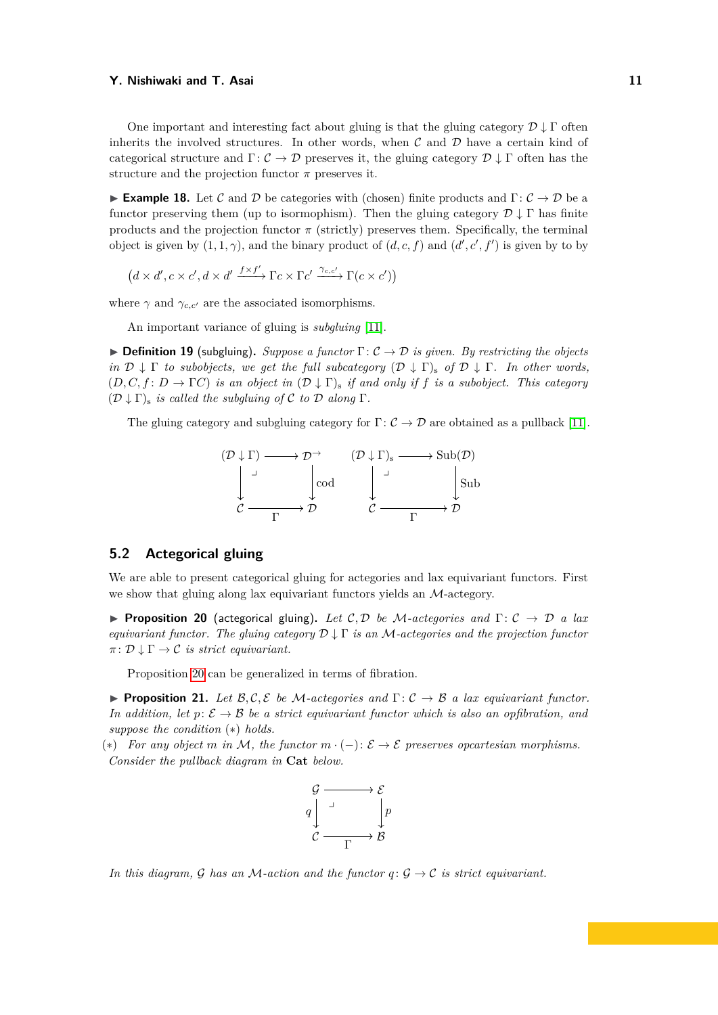One important and interesting fact about gluing is that the gluing category  $\mathcal{D} \downarrow \Gamma$  often inherits the involved structures. In other words, when  $\mathcal C$  and  $\mathcal D$  have a certain kind of categorical structure and  $\Gamma: \mathcal{C} \to \mathcal{D}$  preserves it, the gluing category  $\mathcal{D} \downarrow \Gamma$  often has the structure and the projection functor  $\pi$  preserves it.

**Example 18.** Let C and D be categories with (chosen) finite products and  $\Gamma: \mathcal{C} \to \mathcal{D}$  be a functor preserving them (up to isormophism). Then the gluing category  $\mathcal{D} \downarrow \Gamma$  has finite products and the projection functor  $\pi$  (strictly) preserves them. Specifically, the terminal object is given by  $(1,1,\gamma)$ , and the binary product of  $(d, c, f)$  and  $(d', c', f')$  is given by to by

$$
(d \times d', c \times c', d \times d' \xrightarrow{f \times f'} \Gamma c \times \Gamma c' \xrightarrow{\gamma_{c,c'}} \Gamma(c \times c'))
$$

where  $\gamma$  and  $\gamma_{c,c'}$  are the associated isomorphisms.

An important variance of gluing is *subgluing* [\[11\]](#page-15-10).

 $\triangleright$  **Definition 19** (subgluing). *Suppose a functor*  $\Gamma: \mathcal{C} \to \mathcal{D}$  *is given. By restricting the objects in*  $\mathcal{D} \downarrow \Gamma$  *to subobjects, we get the full subcategory*  $(\mathcal{D} \downarrow \Gamma)$ <sub>s</sub> *of*  $\mathcal{D} \downarrow \Gamma$ *. In other words,*  $(D, C, f: D \to \Gamma C)$  *is an object in*  $(D \downarrow \Gamma)$ *s if and only if f is a subobject. This category*  $(D \downarrow \Gamma)$ <sub>s</sub> *is called the subgluing of* C *to* D *along*  $\Gamma$ *.* 

The gluing category and subgluing category for  $\Gamma: \mathcal{C} \to \mathcal{D}$  are obtained as a pullback [\[11\]](#page-15-10).



## **5.2 Actegorical gluing**

We are able to present categorical gluing for actegories and lax equivariant functors. First we show that gluing along lax equivariant functors yields an M-actegory.

<span id="page-10-0"></span>**Proposition 20** (actegorical gluing). Let C, D be M-actegories and  $\Gamma: \mathcal{C} \to \mathcal{D}$  a lax *equivariant functor. The gluing category* D ↓ Γ *is an* M*-actegories and the projection functor*  $\pi: \mathcal{D} \downarrow \Gamma \rightarrow \mathcal{C}$  *is strict equivariant.* 

Proposition [20](#page-10-0) can be generalized in terms of fibration.

<span id="page-10-1"></span>**Proposition 21.** Let  $\mathcal{B}, \mathcal{C}, \mathcal{E}$  be M-actegories and  $\Gamma: \mathcal{C} \to \mathcal{B}$  a lax equivariant functor. *In addition, let*  $p: \mathcal{E} \to \mathcal{B}$  *be a strict equivariant functor which is also an opfibration, and suppose the condition* (∗) *holds.*

(∗) *For any object m in* M*, the functor m* · (−): E → E *preserves opcartesian morphisms. Consider the pullback diagram in* **Cat** *below.*



*In this diagram,* G *has an* M-action and the functor  $q: \mathcal{G} \to \mathcal{C}$  is strict equivariant.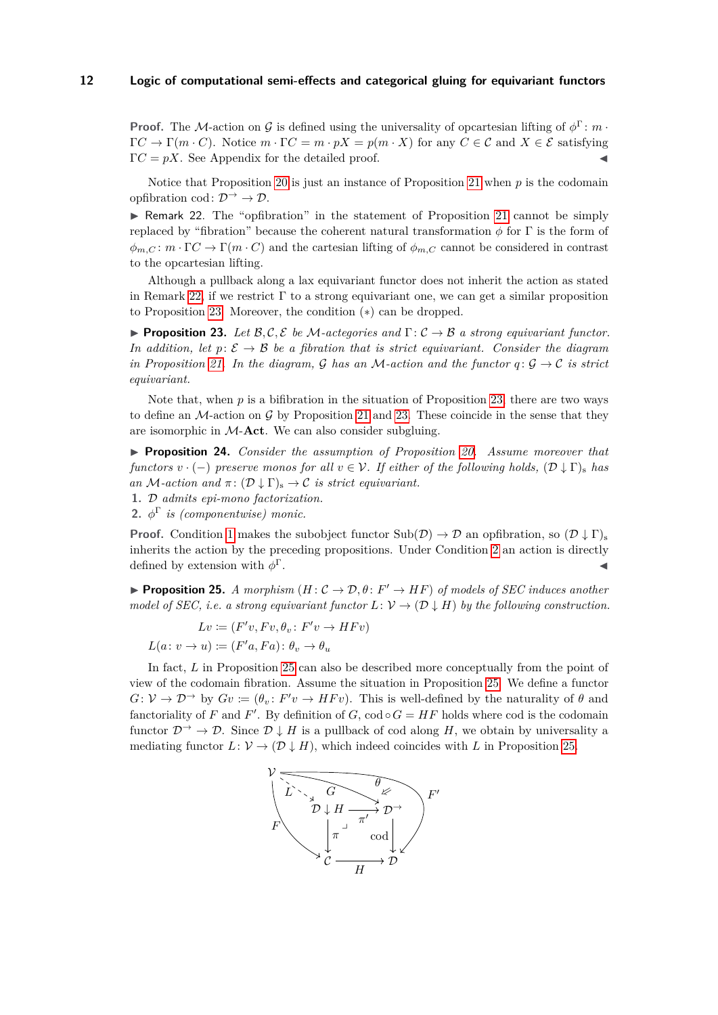**Proof.** The M-action on G is defined using the universality of opcartesian lifting of  $\phi^{\Gamma}$ : *m* ·  $\Gamma C \to \Gamma(m \cdot C)$ . Notice  $m \cdot \Gamma C = m \cdot pX = p(m \cdot X)$  for any  $C \in \mathcal{C}$  and  $X \in \mathcal{E}$  satisfying  $\Gamma C = pX$ . See Appendix for the detailed proof.

Notice that Proposition [20](#page-10-0) is just an instance of Proposition [21](#page-10-1) when *p* is the codomain opfibration cod:  $\mathcal{D} \rightarrow \mathcal{D}$ .

<span id="page-11-0"></span> $\triangleright$  Remark 22. The "opfibration" in the statement of Proposition [21](#page-10-1) cannot be simply replaced by "fibration" because the coherent natural transformation  $\phi$  for  $\Gamma$  is the form of  $\phi_{m,C}: m \cdot \Gamma C \to \Gamma(m \cdot C)$  and the cartesian lifting of  $\phi_{m,C}$  cannot be considered in contrast to the opcartesian lifting.

Although a pullback along a lax equivariant functor does not inherit the action as stated in Remark [22,](#page-11-0) if we restrict  $\Gamma$  to a strong equivariant one, we can get a similar proposition to Proposition [23.](#page-11-1) Moreover, the condition (∗) can be dropped.

<span id="page-11-1"></span>**Proposition 23.** Let  $\mathcal{B}, \mathcal{C}, \mathcal{E}$  be M-actegories and  $\Gamma : \mathcal{C} \to \mathcal{B}$  a strong equivariant functor. *In addition, let*  $p: \mathcal{E} \to \mathcal{B}$  *be a fibration that is strict equivariant. Consider the diagram in Proposition* [21.](#page-10-1) In the diagram, G has an M-action and the functor  $q: \mathcal{G} \to \mathcal{C}$  is strict *equivariant.*

Note that, when p is a bifibration in the situation of Proposition [23,](#page-11-1) there are two ways to define an  $\mathcal{M}$ -action on  $\mathcal{G}$  by Proposition [21](#page-10-1) and [23.](#page-11-1) These coincide in the sense that they are isomorphic in M-**Act**. We can also consider subgluing.

<span id="page-11-5"></span>I **Proposition 24.** *Consider the assumption of Proposition [20.](#page-10-0) Assume moreover that functors*  $v \cdot (-)$  *preserve monos for all*  $v \in V$ *. If either of the following holds,*  $(\mathcal{D} \downarrow \Gamma)$ <sub>s</sub> *has an* M-action and  $\pi$ :  $(D \downarrow \Gamma)_{\rm s} \rightarrow C$  *is strict equivariant.* 

<span id="page-11-2"></span>**1.** D *admits epi-mono factorization.*

<span id="page-11-3"></span>**2.**  $\phi^{\Gamma}$  *is (componentwise) monic.* 

**Proof.** Condition [1](#page-11-2) makes the subobject functor  $\text{Sub}(\mathcal{D}) \to \mathcal{D}$  an opfibration, so  $(\mathcal{D} \downarrow \Gamma)$ inherits the action by the preceding propositions. Under Condition [2](#page-11-3) an action is directly defined by extension with  $\phi^{\Gamma}$ . Γ.  $\blacksquare$ 

<span id="page-11-4"></span>**Proposition 25.** *A morphism*  $(H: C \to \mathcal{D}, \theta: F' \to HF)$  *of models of SEC induces another model of SEC, i.e. a strong equivariant functor*  $L: V \to (D \downarrow H)$  *by the following construction.* 

$$
Lv := (F'v, Fv, \theta_v : F'v \to HFv)
$$

$$
L(a: v \to u) := (F'a, Fa): \theta_v \to \theta_u
$$

In fact, *L* in Proposition [25](#page-11-4) can also be described more conceptually from the point of view of the codomain fibration. Assume the situation in Proposition [25.](#page-11-4) We define a functor  $G: V \to \mathcal{D}^{\to}$  by  $Gv := (\theta_v: F'v \to HFv)$ . This is well-defined by the naturality of  $\theta$  and fanctoriality of *F* and *F'*. By definition of *G*,  $\text{cod} \circ G = HF$  holds where cod is the codomain functor  $\mathcal{D} \rightarrow \mathcal{D}$ . Since  $\mathcal{D} \downarrow H$  is a pullback of cod along *H*, we obtain by universality a mediating functor  $L: \mathcal{V} \to (\mathcal{D} \downarrow H)$ , which indeed coincides with L in Proposition [25.](#page-11-4)

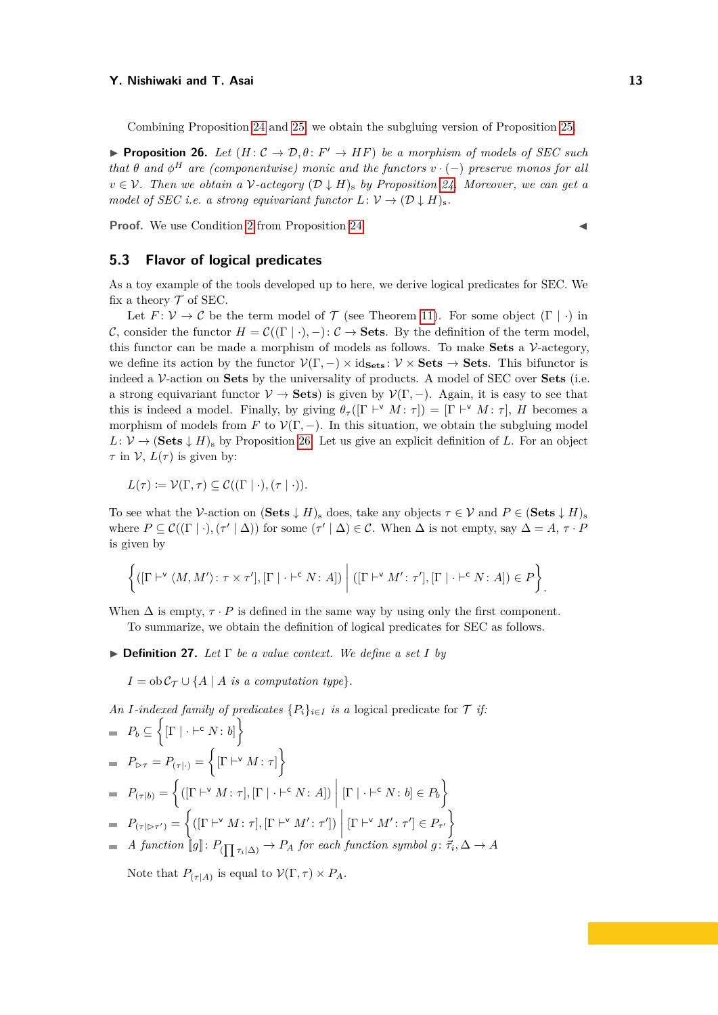Combining Proposition [24](#page-11-5) and [25,](#page-11-4) we obtain the subgluing version of Proposition [25.](#page-11-4)

<span id="page-12-0"></span>**Proposition 26.** *Let*  $(H: \mathcal{C} \to \mathcal{D}, \theta: F' \to HF)$  *be a morphism of models of SEC such that*  $\theta$  *and*  $\phi^H$  *are (componentwise) monic and the functors*  $v \cdot (-)$  *preserve monos for all*  $v \in V$ . Then we obtain a V-actegory  $(D \downarrow H)$ <sub>s</sub> by Proposition [24.](#page-11-5) Moreover, we can get a *model of SEC i.e. a strong equivariant functor*  $L: V \to (\mathcal{D} \downarrow H)_{\rm s}$ .

**Proof.** We use Condition [2](#page-11-3) from Proposition [24.](#page-11-5)

## **5.3 Flavor of logical predicates**

As a toy example of the tools developed up to here, we derive logical predicates for SEC. We fix a theory  $\mathcal T$  of SEC.

Let  $F: \mathcal{V} \to \mathcal{C}$  be the term model of  $\mathcal{T}$  (see Theorem [11\)](#page-8-2). For some object  $(\Gamma | \cdot)$  in C, consider the functor  $H = \mathcal{C}((\Gamma | \cdot)$ ,  $-): \mathcal{C} \to \mathbf{Sets}$ . By the definition of the term model, this functor can be made a morphism of models as follows. To make **Sets** a V-actegory, we define its action by the functor  $V(\Gamma, -) \times \text{id}_{\text{Sets}} : V \times \text{Sets} \to \text{Sets}$ . This bifunctor is indeed a V-action on **Sets** by the universality of products. A model of SEC over **Sets** (i.e. a strong equivariant functor  $V \to \mathbf{Sets}$  is given by  $\mathcal{V}(\Gamma, -)$ . Again, it is easy to see that this is indeed a model. Finally, by giving  $\theta_{\tau}([\Gamma \vdash^{\vee} M : \tau]) = [\Gamma \vdash^{\vee} M : \tau], H$  becomes a morphism of models from *F* to  $\mathcal{V}(\Gamma, -)$ . In this situation, we obtain the subgluing model  $L: V \to (\mathbf{Sets} \downarrow H)_{\mathbf{s}}$  by Proposition [26.](#page-12-0) Let us give an explicit definition of *L*. For an object *τ* in  $V$ ,  $L(\tau)$  is given by:

$$
L(\tau) \coloneqq \mathcal{V}(\Gamma, \tau) \subseteq \mathcal{C}((\Gamma | \cdot), (\tau | \cdot)).
$$

To see what the V-action on  $(\textbf{Sets} \downarrow H)_{\text{s}}$  does, take any objects  $\tau \in V$  and  $P \in (\textbf{Sets} \downarrow H)_{\text{s}}$ where  $P \subseteq C((\Gamma | \cdot), (\tau' | \Delta))$  for some  $(\tau' | \Delta) \in C$ . When  $\Delta$  is not empty, say  $\Delta = A, \tau \cdot P$ is given by

$$
\left\{([\Gamma\vdash^{\mathsf{v}}\langle M,M'\rangle\colon\tau\times\tau'], [\Gamma\mid\cdot\vdash^{\mathsf{c}} N\colon A])\;\middle|\;([\Gamma\vdash^{\mathsf{v}} M'\colon\tau'], [\Gamma\mid\cdot\vdash^{\mathsf{c}} N\colon A])\in P\right\}\right.
$$

When  $\Delta$  is empty,  $\tau \cdot P$  is defined in the same way by using only the first component. To summarize, we obtain the definition of logical predicates for SEC as follows.

 $\triangleright$  **Definition 27.** *Let*  $\Gamma$  *be a value context. We define a set I by* 

 $I = \text{ob}\,\mathcal{C}_{\mathcal{T}} \cup \{A \mid A \text{ is a computation type}\}.$ 

*An I*-indexed family of predicates  $\{P_i\}_{i \in I}$  *is a* logical predicate for  $\mathcal T$  *if:* 

$$
P_b \subseteq \left\{ [\Gamma | \cdot \vdash^c N : b] \right\}
$$
  
\n
$$
P_{\rhd \tau} = P_{(\tau | \cdot)} = \left\{ [\Gamma | \cdot^v M : \tau] \right\}
$$
  
\n
$$
= P_{(\tau | b)} = \left\{ ([\Gamma | \cdot^v M : \tau], [\Gamma | \cdot \vdash^c N : A]) \middle| [\Gamma | \cdot \vdash^c N : b] \in P_b \right\}
$$
  
\n
$$
= P_{(\tau | \rhd \tau')} = \left\{ ([\Gamma | \cdot^v M : \tau], [\Gamma | \cdot^v M' : \tau']) \middle| [\Gamma | \cdot^v M' : \tau'] \in P_{\tau'} \right\}
$$
  
\n
$$
= A function [[g] : P_{(\prod \tau_i | \Delta)} \rightarrow P_A \text{ for each function symbol } g: \vec{\tau_i}, \Delta \rightarrow A \text{}
$$

Note that  $P_{(\tau|A)}$  is equal to  $\mathcal{V}(\Gamma, \tau) \times P_A$ .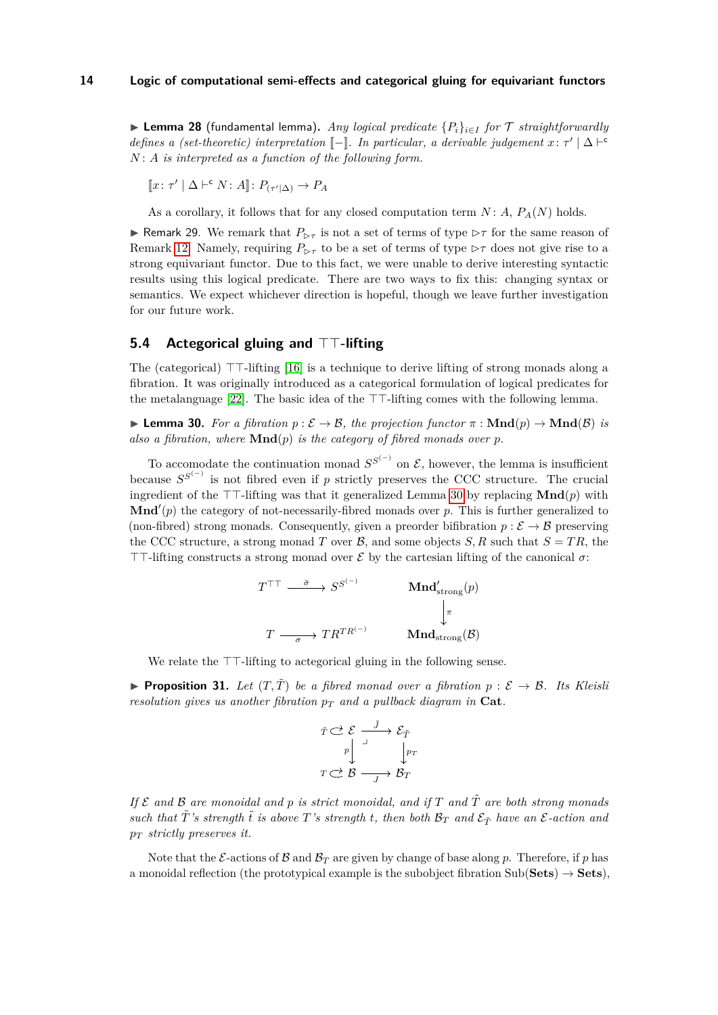▶ **Lemma 28** (fundamental lemma). *Any logical predicate*  ${P_i}_{i \in I}$  *for* T *straightforwardly defines a (set-theoretic) interpretation*  $[-]$ *. In particular, a derivable judgement*  $x: \tau' | \Delta \vdash^c$ *N* : *A is interpreted as a function of the following form.*

$$
[\![x \colon \tau' \mid \Delta \vdash^{\mathsf{c}} N \colon A]\!] \colon P_{(\tau' \mid \Delta)} \to P_A
$$

As a corollary, it follows that for any closed computation term  $N: A, P_A(N)$  holds.

<span id="page-13-3"></span>**If Remark 29.** We remark that  $P_{\triangleright \tau}$  is not a set of terms of type  $\triangleright \tau$  for the same reason of Remark [12.](#page-8-3) Namely, requiring  $P_{\triangleright\tau}$  to be a set of terms of type  $\triangleright\tau$  does not give rise to a strong equivariant functor. Due to this fact, we were unable to derive interesting syntactic results using this logical predicate. There are two ways to fix this: changing syntax or semantics. We expect whichever direction is hopeful, though we leave further investigation for our future work.

## <span id="page-13-0"></span>**5.4 Actegorical gluing and**  $TT$ **-lifting**

The (categorical)  $TT$ -lifting [\[16\]](#page-15-12) is a technique to derive lifting of strong monads along a fibration. It was originally introduced as a categorical formulation of logical predicates for the metalanguage [\[22\]](#page-15-11). The basic idea of the  $\top$ -lifting comes with the following lemma.

<span id="page-13-1"></span>**► Lemma 30.** For a fibration  $p : \mathcal{E} \to \mathcal{B}$ , the projection functor  $\pi : \mathbf{Mnd}(p) \to \mathbf{Mnd}(\mathcal{B})$  is also a fibration, where  $\text{Mnd}(p)$  *is the category of fibred monads over p*.

To accomodate the continuation monad  $S^{S^{(-)}}$  on  $\mathcal{E}$ , however, the lemma is insufficient because  $S^{S^{(-)}}$  is not fibred even if *p* strictly preserves the CCC structure. The crucial ingredient of the  $TT$ -lifting was that it generalized Lemma [30](#page-13-1) by replacing  $\text{Mnd}(p)$  with  $\mathbf{Mnd}'(p)$  the category of not-necessarily-fibred monads over  $p$ . This is further generalized to (non-fibred) strong monads. Consequently, given a preorder bifibration  $p : \mathcal{E} \to \mathcal{B}$  preserving the CCC structure, a strong monad *T* over  $\mathcal{B}$ , and some objects *S*, *R* such that  $S = TR$ , the  $TT$ -lifting constructs a strong monad over  $\mathcal E$  by the cartesian lifting of the canonical  $\sigma$ :

$$
T^{\top\top} \xrightarrow{\bar{\sigma}} S^{S^{(-)}} \qquad \text{Mnd}'_{\text{strong}}(p)
$$

$$
T \xrightarrow{\sigma} T R^{TR^{(-)}} \qquad \text{Mnd}_{\text{strong}}(\mathcal{B})
$$

We relate the  $TT$ -lifting to actegorical gluing in the following sense.

<span id="page-13-2"></span>**Proposition 31.** Let  $(T, \tilde{T})$  be a fibred monad over a fibration  $p : \mathcal{E} \to \mathcal{B}$ . Its Kleisli *resolution gives us another fibration*  $p_T$  *and a pullback diagram in* **Cat***.* 

$$
\begin{array}{ccc}\n\tilde{T} & \stackrel{\frown}{\smile} & \mathcal{E} & \stackrel{\tilde{J}}{\longrightarrow} & \mathcal{E}_{\tilde{T}} \\
p & & & \downarrow p_T \\
T & \stackrel{\frown}{\smile} & \mathcal{B} & \stackrel{\frown}{\longrightarrow} & \mathcal{B}_T\n\end{array}
$$

*If*  $\mathcal{E}$  and  $\mathcal{B}$  are monoidal and  $p$  is strict monoidal, and if  $T$  and  $\tilde{T}$  are both strong monads *such that*  $\tilde{T}$ 's strength  $\tilde{t}$  is above  $T$ 's strength  $t$ , then both  $\mathcal{B}_T$  and  $\mathcal{E}_{\tilde{T}}$  have an  $\mathcal{E}\text{-action}$  and *p<sup>T</sup> strictly preserves it.*

Note that the E-actions of B and  $B_T$  are given by change of base along p. Therefore, if p has a monoidal reflection (the prototypical example is the subobject fibration  $\text{Sub}(\text{Sets}) \rightarrow \text{Sets}$ ),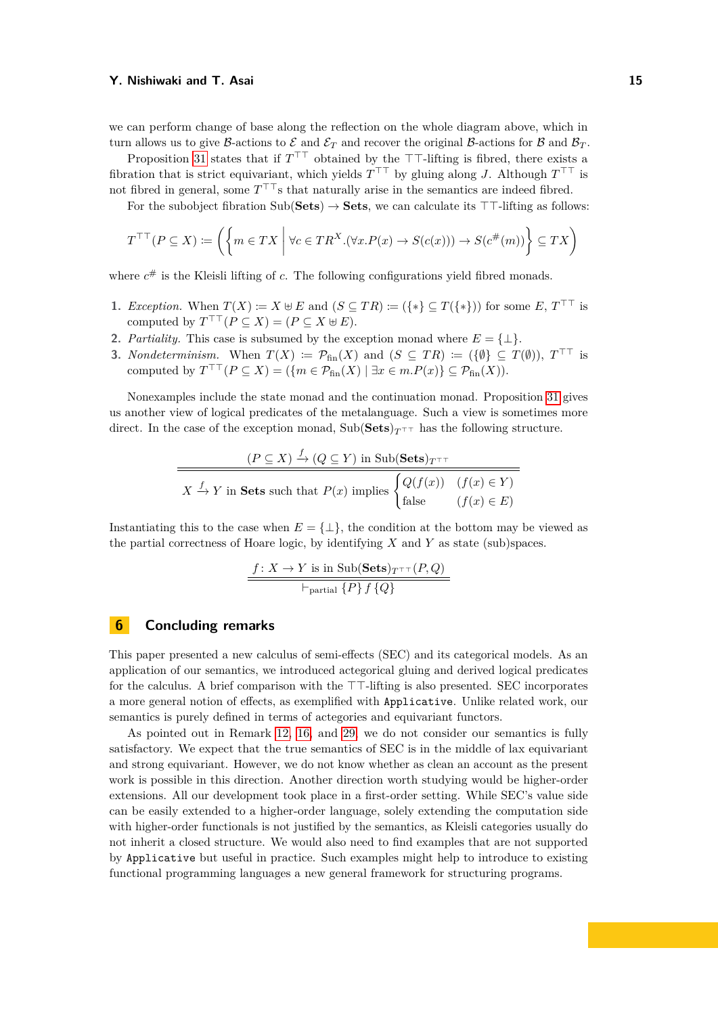we can perform change of base along the reflection on the whole diagram above, which in turn allows us to give B-actions to  $\mathcal E$  and  $\mathcal E_T$  and recover the original B-actions for B and  $\mathcal B_T$ .

Proposition [31](#page-13-2) states that if  $T^{\top}$  obtained by the  $\top$ -lifting is fibred, there exists a fibration that is strict equivariant, which yields  $T^{\top\top}$  by gluing along *J*. Although  $T^{\top\top}$  is not fibred in general, some  $T^{\top\top}$  that naturally arise in the semantics are indeed fibred.

For the subobject fibration  $\text{Sub}(\text{Sets}) \rightarrow \text{Sets}$ , we can calculate its  $\top \top$ -lifting as follows:

$$
T^{\top\top}(P \subseteq X) \coloneqq \left( \left\{ m \in TX \; \middle| \; \forall c \in TR^X. (\forall x. P(x) \to S(c(x))) \to S(c^{\#}(m)) \right\} \subseteq TX \right)
$$

where  $c^{\#}$  is the Kleisli lifting of *c*. The following configurations yield fibred monads.

- **1.** *Exception.* When  $T(X) := X \oplus E$  and  $(S \subseteq TR) := (\{*\} \subseteq T(\{*\}))$  for some  $E, T^{\top \top}$  is computed by  $T^{\top\top}(P \subseteq X) = (P \subseteq X \oplus E).$
- **2.** *Partiality*. This case is subsumed by the exception monad where  $E = \{\perp\}$ .
- **3.** *Nondeterminism.* When  $T(X) := \mathcal{P}_{fin}(X)$  and  $(S \subseteq TR) := (\{\emptyset\} \subseteq T(\emptyset)), T^{\top\top}$  is computed by  $T^{\top\top}(P \subseteq X) = (\{m \in \mathcal{P}_{fin}(X) \mid \exists x \in m.P(x)\} \subseteq \mathcal{P}_{fin}(X)).$

Nonexamples include the state monad and the continuation monad. Proposition [31](#page-13-2) gives us another view of logical predicates of the metalanguage. Such a view is sometimes more direct. In the case of the exception monad, Sub(Sets) $T^{\dagger}$  has the following structure.

$$
\frac{(P \subseteq X) \xrightarrow{f} (Q \subseteq Y) \text{ in Sub(Sets)}_{T^{\top \top}}}{X \xrightarrow{f} Y \text{ in Sets such that } P(x) \text{ implies } \begin{cases} Q(f(x)) & (f(x) \in Y) \\ \text{false} & (f(x) \in E) \end{cases}}
$$

Instantiating this to the case when  $E = \{\perp\}$ , the condition at the bottom may be viewed as the partial correctness of Hoare logic, by identifying *X* and *Y* as state (sub)spaces.

$$
\frac{f \colon X \to Y \text{ is in Sub}(Sets)_{T^{\top}}(P, Q)}{\vdash_{\text{partial}} \{P\} f \{Q\}}
$$

## **6 Concluding remarks**

This paper presented a new calculus of semi-effects (SEC) and its categorical models. As an application of our semantics, we introduced actegorical gluing and derived logical predicates for the calculus. A brief comparison with the  $TT$ -lifting is also presented. SEC incorporates a more general notion of effects, as exemplified with Applicative. Unlike related work, our semantics is purely defined in terms of actegories and equivariant functors.

As pointed out in Remark [12,](#page-8-3) [16,](#page-9-0) and [29,](#page-13-3) we do not consider our semantics is fully satisfactory. We expect that the true semantics of SEC is in the middle of lax equivariant and strong equivariant. However, we do not know whether as clean an account as the present work is possible in this direction. Another direction worth studying would be higher-order extensions. All our development took place in a first-order setting. While SEC's value side can be easily extended to a higher-order language, solely extending the computation side with higher-order functionals is not justified by the semantics, as Kleisli categories usually do not inherit a closed structure. We would also need to find examples that are not supported by Applicative but useful in practice. Such examples might help to introduce to existing functional programming languages a new general framework for structuring programs.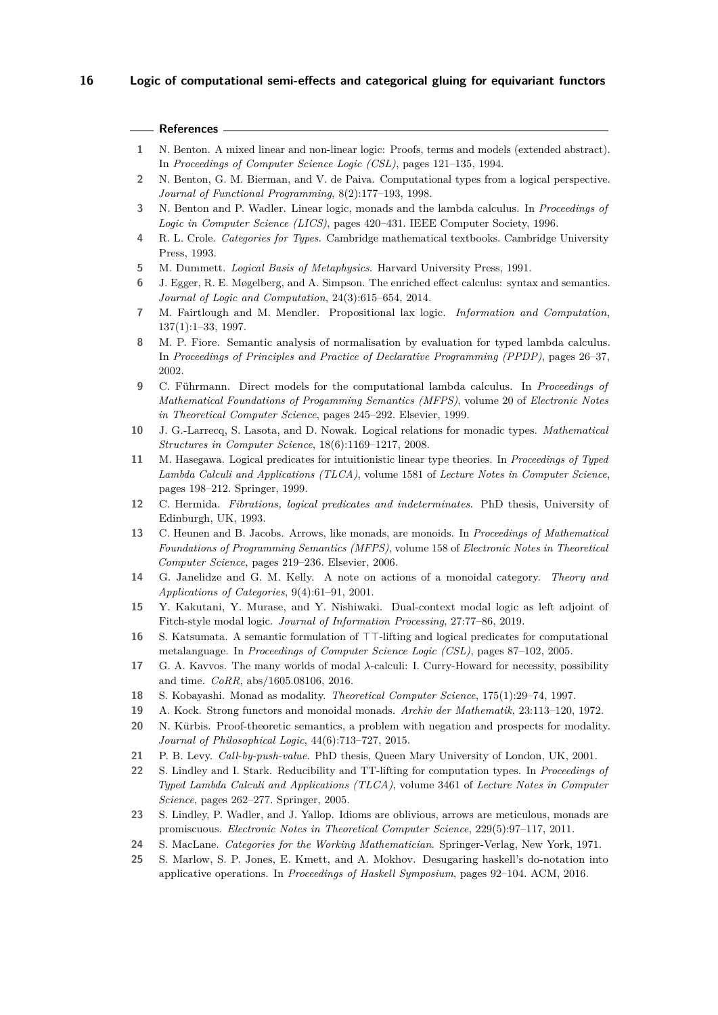## **References**

- <span id="page-15-3"></span>**1** N. Benton. A mixed linear and non-linear logic: Proofs, terms and models (extended abstract). In *Proceedings of Computer Science Logic (CSL)*, pages 121–135, 1994.
- <span id="page-15-1"></span>**2** N. Benton, G. M. Bierman, and V. de Paiva. Computational types from a logical perspective. *Journal of Functional Programming*, 8(2):177–193, 1998.
- <span id="page-15-2"></span>**3** N. Benton and P. Wadler. Linear logic, monads and the lambda calculus. In *Proceedings of Logic in Computer Science (LICS)*, pages 420–431. IEEE Computer Society, 1996.
- <span id="page-15-9"></span>**4** R. L. Crole. *Categories for Types*. Cambridge mathematical textbooks. Cambridge University Press, 1993.
- <span id="page-15-5"></span>**5** M. Dummett. *Logical Basis of Metaphysics*. Harvard University Press, 1991.
- <span id="page-15-4"></span>**6** J. Egger, R. E. Møgelberg, and A. Simpson. The enriched effect calculus: syntax and semantics. *Journal of Logic and Computation*, 24(3):615–654, 2014.
- <span id="page-15-0"></span>**7** M. Fairtlough and M. Mendler. Propositional lax logic. *Information and Computation*, 137(1):1–33, 1997.
- <span id="page-15-16"></span>**8** M. P. Fiore. Semantic analysis of normalisation by evaluation for typed lambda calculus. In *Proceedings of Principles and Practice of Declarative Programming (PPDP)*, pages 26–37, 2002.
- <span id="page-15-7"></span>**9** C. Führmann. Direct models for the computational lambda calculus. In *Proceedings of Mathematical Foundations of Progamming Semantics (MFPS)*, volume 20 of *Electronic Notes in Theoretical Computer Science*, pages 245–292. Elsevier, 1999.
- <span id="page-15-18"></span>**10** J. G.-Larrecq, S. Lasota, and D. Nowak. Logical relations for monadic types. *Mathematical Structures in Computer Science*, 18(6):1169–1217, 2008.
- <span id="page-15-10"></span>**11** M. Hasegawa. Logical predicates for intuitionistic linear type theories. In *Proceedings of Typed Lambda Calculi and Applications (TLCA)*, volume 1581 of *Lecture Notes in Computer Science*, pages 198–212. Springer, 1999.
- <span id="page-15-17"></span>**12** C. Hermida. *Fibrations, logical predicates and indeterminates*. PhD thesis, University of Edinburgh, UK, 1993.
- <span id="page-15-22"></span>**13** C. Heunen and B. Jacobs. Arrows, like monads, are monoids. In *Proceedings of Mathematical Foundations of Programming Semantics (MFPS)*, volume 158 of *Electronic Notes in Theoretical Computer Science*, pages 219–236. Elsevier, 2006.
- <span id="page-15-20"></span>**14** G. Janelidze and G. M. Kelly. A note on actions of a monoidal category. *Theory and Applications of Categories*, 9(4):61–91, 2001.
- <span id="page-15-14"></span>**15** Y. Kakutani, Y. Murase, and Y. Nishiwaki. Dual-context modal logic as left adjoint of Fitch-style modal logic. *Journal of Information Processing*, 27:77–86, 2019.
- <span id="page-15-12"></span>**16** S. Katsumata. A semantic formulation of  $T$ -lifting and logical predicates for computational metalanguage. In *Proceedings of Computer Science Logic (CSL)*, pages 87–102, 2005.
- <span id="page-15-15"></span>**17** G. A. Kavvos. The many worlds of modal *λ*-calculi: I. Curry-Howard for necessity, possibility and time. *CoRR*, abs/1605.08106, 2016.
- <span id="page-15-13"></span>**18** S. Kobayashi. Monad as modality. *Theoretical Computer Science*, 175(1):29–74, 1997.
- <span id="page-15-21"></span>**19** A. Kock. Strong functors and monoidal monads. *Archiv der Mathematik*, 23:113–120, 1972.
- <span id="page-15-6"></span>**20** N. Kürbis. Proof-theoretic semantics, a problem with negation and prospects for modality. *Journal of Philosophical Logic*, 44(6):713–727, 2015.
- <span id="page-15-8"></span>**21** P. B. Levy. *Call-by-push-value*. PhD thesis, Queen Mary University of London, UK, 2001.
- <span id="page-15-11"></span>**22** S. Lindley and I. Stark. Reducibility and TT-lifting for computation types. In *Proceedings of Typed Lambda Calculi and Applications (TLCA)*, volume 3461 of *Lecture Notes in Computer Science*, pages 262–277. Springer, 2005.
- <span id="page-15-23"></span>**23** S. Lindley, P. Wadler, and J. Yallop. Idioms are oblivious, arrows are meticulous, monads are promiscuous. *Electronic Notes in Theoretical Computer Science*, 229(5):97–117, 2011.
- <span id="page-15-24"></span>**24** S. MacLane. *Categories for the Working Mathematician*. Springer-Verlag, New York, 1971.
- <span id="page-15-19"></span>**25** S. Marlow, S. P. Jones, E. Kmett, and A. Mokhov. Desugaring haskell's do-notation into applicative operations. In *Proceedings of Haskell Symposium*, pages 92–104. ACM, 2016.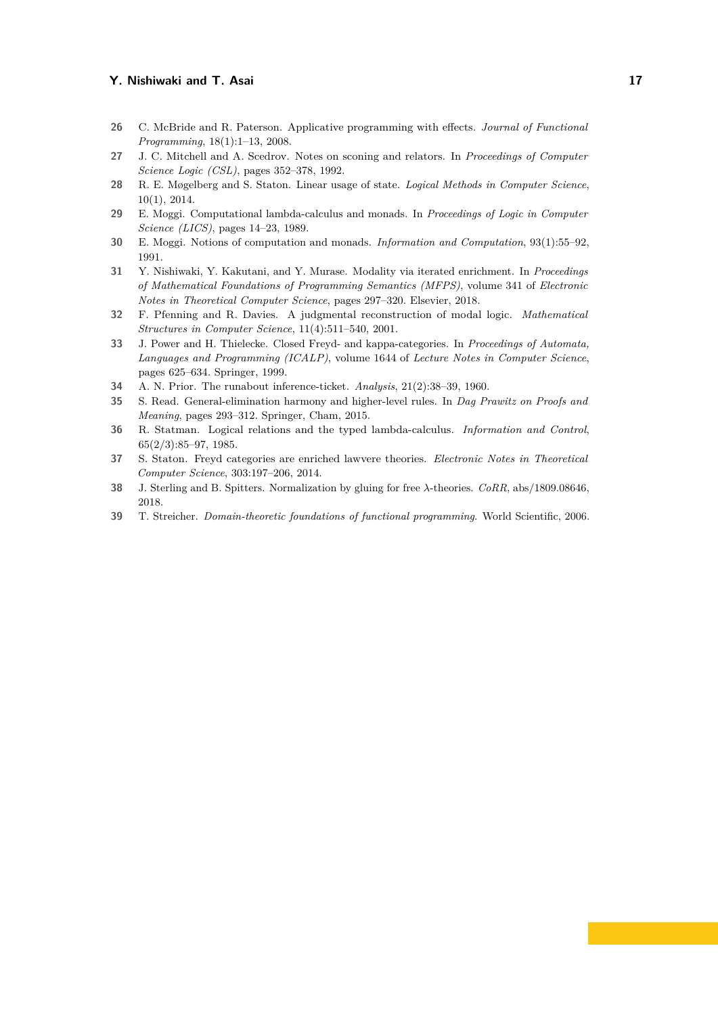- <span id="page-16-13"></span>**26** C. McBride and R. Paterson. Applicative programming with effects. *Journal of Functional Programming*, 18(1):1–13, 2008.
- <span id="page-16-5"></span>**27** J. C. Mitchell and A. Scedrov. Notes on sconing and relators. In *Proceedings of Computer Science Logic (CSL)*, pages 352–378, 1992.
- <span id="page-16-4"></span>**28** R. E. Møgelberg and S. Staton. Linear usage of state. *Logical Methods in Computer Science*, 10(1), 2014.
- <span id="page-16-0"></span>**29** E. Moggi. Computational lambda-calculus and monads. In *Proceedings of Logic in Computer Science (LICS)*, pages 14–23, 1989.
- <span id="page-16-1"></span>**30** E. Moggi. Notions of computation and monads. *Information and Computation*, 93(1):55–92, 1991.
- <span id="page-16-7"></span>**31** Y. Nishiwaki, Y. Kakutani, and Y. Murase. Modality via iterated enrichment. In *Proceedings of Mathematical Foundations of Programming Semantics (MFPS)*, volume 341 of *Electronic Notes in Theoretical Computer Science*, pages 297–320. Elsevier, 2018.
- <span id="page-16-6"></span>**32** F. Pfenning and R. Davies. A judgmental reconstruction of modal logic. *Mathematical Structures in Computer Science*, 11(4):511–540, 2001.
- <span id="page-16-2"></span>**33** J. Power and H. Thielecke. Closed Freyd- and kappa-categories. In *Proceedings of Automata, Languages and Programming (ICALP)*, volume 1644 of *Lecture Notes in Computer Science*, pages 625–634. Springer, 1999.
- <span id="page-16-11"></span>**34** A. N. Prior. The runabout inference-ticket. *Analysis*, 21(2):38–39, 1960.
- <span id="page-16-12"></span>**35** S. Read. General-elimination harmony and higher-level rules. In *Dag Prawitz on Proofs and Meaning*, pages 293–312. Springer, Cham, 2015.
- <span id="page-16-9"></span>**36** R. Statman. Logical relations and the typed lambda-calculus. *Information and Control*, 65(2/3):85–97, 1985.
- <span id="page-16-3"></span>**37** S. Staton. Freyd categories are enriched lawvere theories. *Electronic Notes in Theoretical Computer Science*, 303:197–206, 2014.
- <span id="page-16-8"></span>**38** J. Sterling and B. Spitters. Normalization by gluing for free *λ*-theories. *CoRR*, abs/1809.08646, 2018.
- <span id="page-16-10"></span>**39** T. Streicher. *Domain-theoretic foundations of functional programming*. World Scientific, 2006.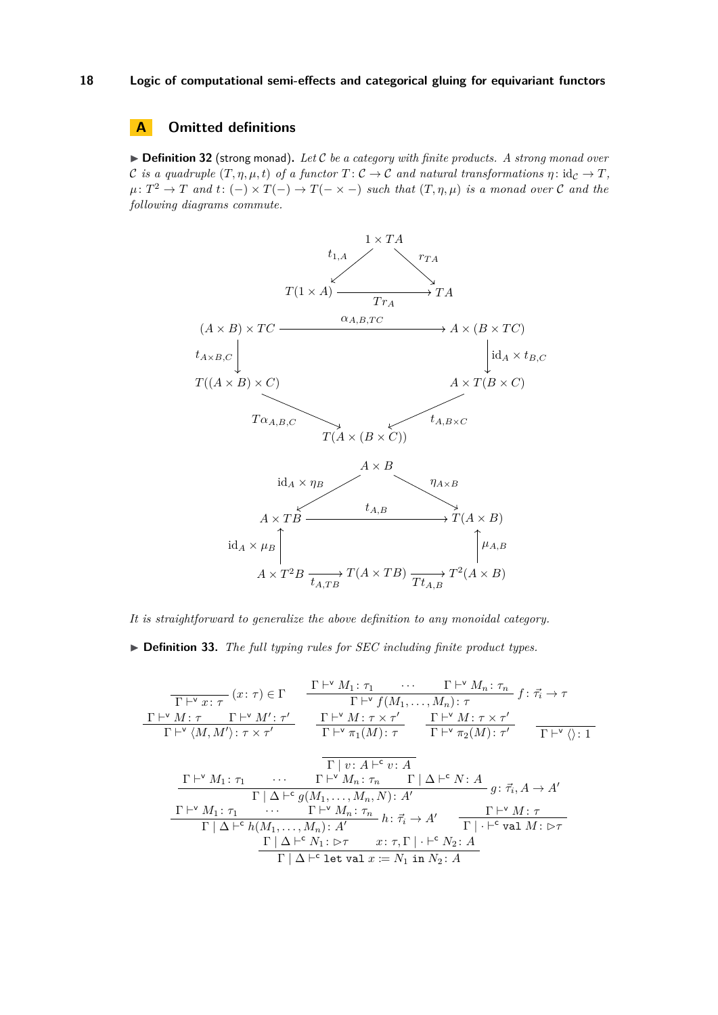## **A Omitted definitions**

▶ **Definition 32** (strong monad). Let C be a category with finite products. A strong monad over C is a quadruple  $(T, \eta, \mu, t)$  of a functor  $T: C \to C$  and natural transformations  $\eta: id_{\mathcal{C}} \to T$ ,  $\mu: T^2 \to T$  and  $t: (-) \times T(-) \to T(- \times -)$  such that  $(T, \eta, \mu)$  is a monad over C and the *following diagrams commute.*



*It is straightforward to generalize the above definition to any monoidal category.*

I **Definition 33.** *The full typing rules for SEC including finite product types.*

$$
\frac{\Gamma\vdash^{v}x:\tau}{\Gamma\vdash^{v}x:\tau}(x:\tau)\in\Gamma
$$
\n
$$
\frac{\Gamma\vdash^{v}M:\tau}{\Gamma\vdash^{v}f(M_{1},...,M_{n}):\tau}
$$
\n
$$
\frac{\Gamma\vdash^{v}M:\tau}{\Gamma\vdash^{v}\langle M,M'\rangle:\tau\times\tau'}\frac{\Gamma\vdash^{v}M:\tau\times\tau'}{\Gamma\vdash^{v}\pi_{1}(M):\tau}\frac{\Gamma\vdash^{v}M:\tau\times\tau'}{\Gamma\vdash^{v}\pi_{2}(M):\tau'}\frac{\Gamma\vdash^{v}M:\tau\times\tau'}{\Gamma\vdash^{v}\pi_{2}(M):\tau'}\frac{\Gamma\vdash^{v}M:\tau\times\tau'}{\Gamma\vdash^{v}\langle^{v}\rangle:1}
$$
\n
$$
\frac{\Gamma\vdash^{v}M_{1}:\tau_{1}\qquad\cdots\qquad\Gamma\vdash^{v}M_{n}:\tau_{n}\qquad\Gamma\downarrow\Delta\vdash^{c}N:A}{\Gamma\downharpoonright\Delta\vdash^{c}g(M_{1},...,M_{n},N):\,A'}g:\vec{\tau}_{i},A\to A'
$$
\n
$$
\frac{\Gamma\vdash^{v}M_{1}:\tau_{1}\qquad\cdots\qquad\Gamma\vdash^{v}M_{n}:\tau_{n}\qquad\Gamma\vdash^{c}M:\tau}{\Gamma\downharpoonright\Delta\vdash^{c}h(M_{1},...,M_{n}):\,A'}\quad\frac{\Gamma\vdash^{v}M:\tau}{\Gamma\vdash^{c}v\text{ and }M:\,\triangleright\tau}
$$
\n
$$
\frac{\Gamma\vdash^{a}\Delta\vdash^{c}N_{1}:\,\triangleright\tau\qquad x:\tau,\Gamma\vdash^{c}N_{2}\colon A}{\Gamma\vdash\Delta\vdash^{c}v\text{ at }x:=N_{1}\text{ in }N_{2}\colon A}
$$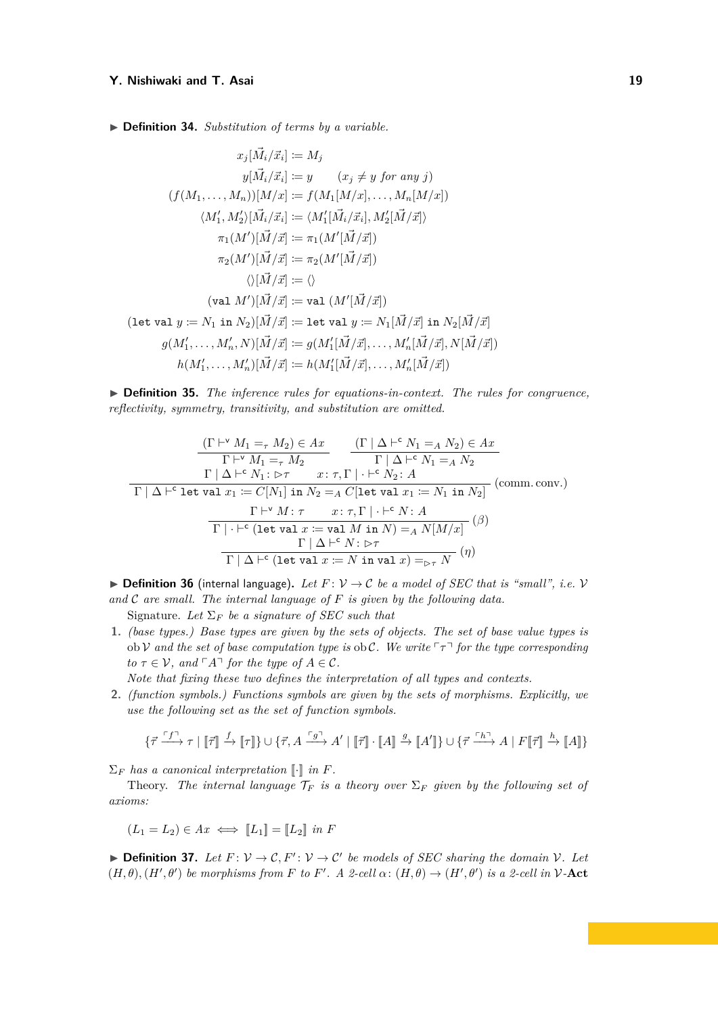▶ **Definition 34.** *Substitution of terms by a variable.* 

$$
x_j[\vec{M}_i/\vec{x}_i] := M_j
$$
  
\n
$$
y[\vec{M}_i/\vec{x}_i] := y \qquad (x_j \neq y \text{ for any } j)
$$
  
\n
$$
(f(M_1, \ldots, M_n))[M/x] := f(M_1[M/x], \ldots, M_n[M/x])
$$
  
\n
$$
\langle M'_1, M'_2 \rangle [\vec{M}_i/\vec{x}_i] := \langle M'_1[\vec{M}_i/\vec{x}_i], M'_2[\vec{M}/\vec{x}])
$$
  
\n
$$
\pi_1(M')[\vec{M}/\vec{x}] := \pi_1(M'[\vec{M}/\vec{x}])
$$
  
\n
$$
\pi_2(M')[\vec{M}/\vec{x}] := \pi_2(M'[\vec{M}/\vec{x}])
$$
  
\n
$$
\langle \langle [\vec{M}/\vec{x}] := \langle \rangle
$$
  
\n
$$
\langle \langle \text{val } M' \rangle [\vec{M}/\vec{x}] := \text{val } (M'[\vec{M}/\vec{x}])
$$
  
\n
$$
f(\text{val } \langle [\vec{M}/\vec{x}] \rangle)
$$
  
\n
$$
g(M'_1, \ldots, M'_n, N)[\vec{M}/\vec{x}] := g(M'_1[\vec{M}/\vec{x}], \ldots, M'_n[\vec{M}/\vec{x}], N[\vec{M}/\vec{x}])
$$
  
\n
$$
h(M'_1, \ldots, M'_n)[\vec{M}/\vec{x}] := h(M'_1[\vec{M}/\vec{x}], \ldots, M'_n[\vec{M}/\vec{x}])
$$

I **Definition 35.** *The inference rules for equations-in-context. The rules for congruence, reflectivity, symmetry, transitivity, and substitution are omitted.*

(Γ ` <sup>v</sup> *M*<sup>1</sup> =*<sup>τ</sup> M*2) ∈ *Ax* Γ ` <sup>v</sup> *M*<sup>1</sup> =*<sup>τ</sup> M*<sup>2</sup> (Γ | ∆ ` <sup>c</sup> *N*<sup>1</sup> =*<sup>A</sup> N*2) ∈ *Ax* Γ | ∆ ` <sup>c</sup> *N*<sup>1</sup> =*<sup>A</sup> N*<sup>2</sup> Γ | ∆ ` <sup>c</sup> *N*<sup>1</sup> : B*τ x*: *τ,* Γ | · `<sup>c</sup> *N*<sup>2</sup> : *A* (comm. conv.) Γ | ∆ ` <sup>c</sup> let val *x*<sup>1</sup> := *C*[*N*1] in *N*<sup>2</sup> =*<sup>A</sup> C*[let val *x*<sup>1</sup> := *N*<sup>1</sup> in *N*2] Γ ` <sup>v</sup> *M* : *τ x*: *τ,* Γ | · `<sup>c</sup> *N* : *A* (*β*) Γ | · `<sup>c</sup> (let val *x* := val *M* in *N*) =*<sup>A</sup> N*[*M/x*] Γ | ∆ ` <sup>c</sup> *N* : B*τ* (*η*) Γ | ∆ ` c (let val *x* := *N* in val *x*) =<sup>B</sup>*<sup>τ</sup> N*

 $\triangleright$  **Definition 36** (internal language). Let  $F: V \to C$  be a model of SEC that is "small", i.e. V *and* C *are small. The internal language of F is given by the following data.*

Signature. Let  $\Sigma_F$  be a signature of SEC such that

**1.** *(base types.) Base types are given by the sets of objects. The set of base value types is* ob V and the set of base computation type is ob C. We write  $\lceil \tau \rceil$  for the type corresponding *to*  $\tau \in V$ *, and*  $\ulcorner A \urcorner$  *for the type of*  $A \in \mathcal{C}$ *.* 

*Note that fixing these two defines the interpretation of all types and contexts.*

**2.** *(function symbols.) Functions symbols are given by the sets of morphisms. Explicitly, we use the following set as the set of function symbols.*

$$
\{\vec{\tau} \overset{\ulcorner f\urcorner}{\longrightarrow} \tau \mid [\![\vec{\tau}]\!] \overset{f}{\rightarrow} [\![\tau]\!] \} \cup \{\vec{\tau}, A \overset{\ulcorner g\urcorner}{\longrightarrow} A' \mid [\![\vec{\tau}]\!] \cdot [\![A]\!] \overset{g}{\rightarrow} [\![A']\!] \} \cup \{\vec{\tau} \overset{\ulcorner h\urcorner}{\longrightarrow} A \mid F[\![\vec{\tau}]\!] \overset{h}{\rightarrow} [\![A]\!] \}
$$

 $\Sigma_F$  *has a canonical interpretation* [*·*] *in F.* 

Theory. *The internal language*  $\mathcal{T}_F$  *is a theory over*  $\Sigma_F$  *given by the following set of axioms:*

$$
(L_1 = L_2) \in Ax \iff [L_1] = [L_2] \text{ in } F
$$

**Definition 37.** Let  $F: V \to C$ ,  $F': V \to C'$  be models of SEC sharing the domain V. Let  $(H, \theta)$ ,  $(H', \theta')$  be morphisms from *F* to *F'*. A 2-cell  $\alpha$ :  $(H, \theta) \rightarrow (H', \theta')$  is a 2-cell in V-Act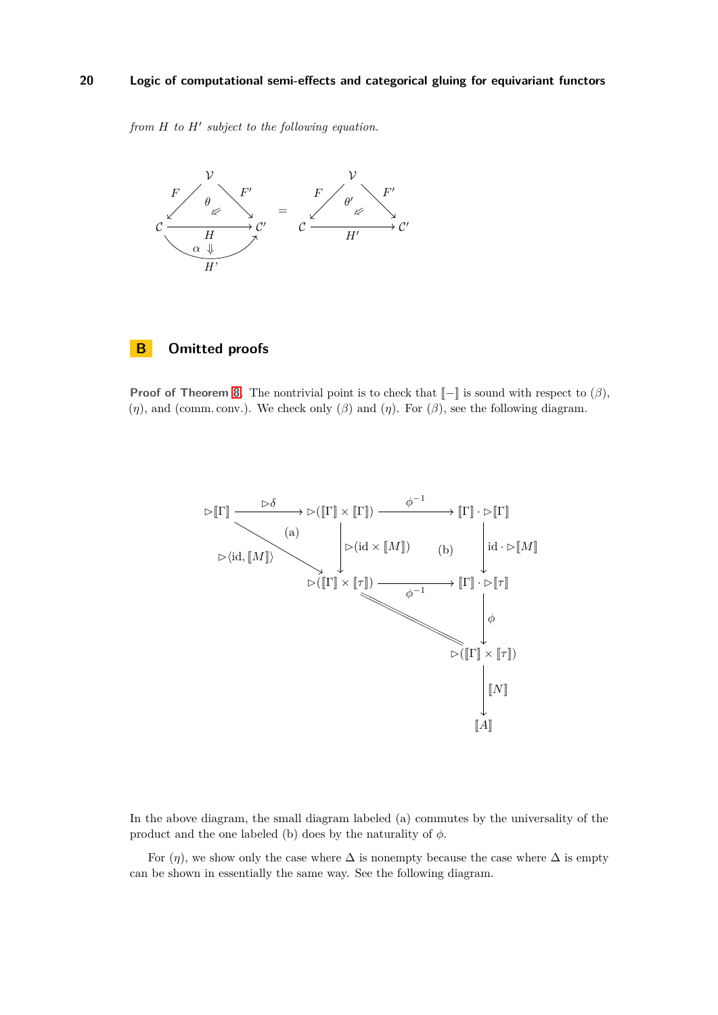*from H to H*<sup> $\prime$ </sup> *subject to the following equation.* 



## **B Omitted proofs**

**Proof of Theorem [8.](#page-8-4)** The nontrivial point is to check that  $[-]$  is sound with respect to  $(\beta)$ ,  $(\eta)$ , and (comm. conv.). We check only  $(\beta)$  and  $(\eta)$ . For  $(\beta)$ , see the following diagram.



In the above diagram, the small diagram labeled (a) commutes by the universality of the product and the one labeled (b) does by the naturality of  $\phi$ .

For  $(\eta)$ , we show only the case where  $\Delta$  is nonempty because the case where  $\Delta$  is empty can be shown in essentially the same way. See the following diagram.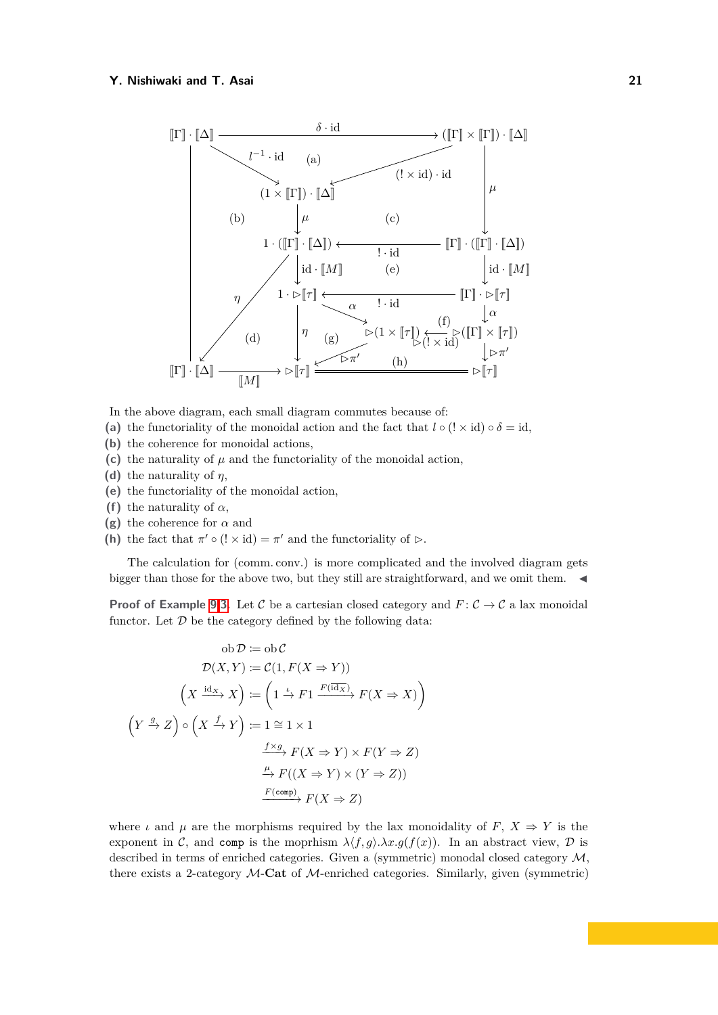

In the above diagram, each small diagram commutes because of:

- (a) the functoriality of the monoidal action and the fact that  $l \circ (l \times id) \circ \delta = id$ ,
- **(b)** the coherence for monoidal actions,
- (c) the naturality of  $\mu$  and the functoriality of the monoidal action,
- **(d)** the naturality of *η*,
- **(e)** the functoriality of the monoidal action,
- **(f)** the naturality of  $\alpha$ ,
- **(g)** the coherence for *α* and
- **(h)** the fact that  $\pi' \circ (! \times id) = \pi'$  and the functoriality of  $\triangleright$ .

The calculation for (comm. conv.) is more complicated and the involved diagram gets bigger than those for the above two, but they still are straightforward, and we omit them.  $\blacktriangleleft$ 

**Proof of Example [9.](#page-8-0)[3.](#page-8-5)** Let C be a cartesian closed category and  $F: \mathcal{C} \to \mathcal{C}$  a lax monoidal functor. Let  $D$  be the category defined by the following data:

ob 
$$
\mathcal{D} := \text{ob } \mathcal{C}
$$
  
\n
$$
\mathcal{D}(X, Y) := \mathcal{C}(1, F(X \Rightarrow Y))
$$
\n
$$
\left(X \xrightarrow{\text{id}_X} X\right) := \left(1 \xrightarrow{f} \mathcal{F}1 \xrightarrow{F(\text{id}_X)} F(X \Rightarrow X)\right)
$$
\n
$$
\left(Y \xrightarrow{g} Z\right) \circ \left(X \xrightarrow{f} Y\right) := 1 \cong 1 \times 1
$$
\n
$$
\xrightarrow{f \times g} F(X \Rightarrow Y) \times F(Y \Rightarrow Z)
$$
\n
$$
\xrightarrow{\mu} F((X \Rightarrow Y) \times (Y \Rightarrow Z))
$$
\n
$$
\xrightarrow{F(\text{comp})} F(X \Rightarrow Z)
$$

where *ι* and *μ* are the morphisms required by the lax monoidality of  $F, X \Rightarrow Y$  is the exponent in C, and comp is the moprhism  $\lambda \langle f, g \rangle \cdot \lambda x. g(f(x))$ . In an abstract view, D is described in terms of enriched categories. Given a (symmetric) monodal closed category  $M$ , there exists a 2-category M-**Cat** of M-enriched categories. Similarly, given (symmetric)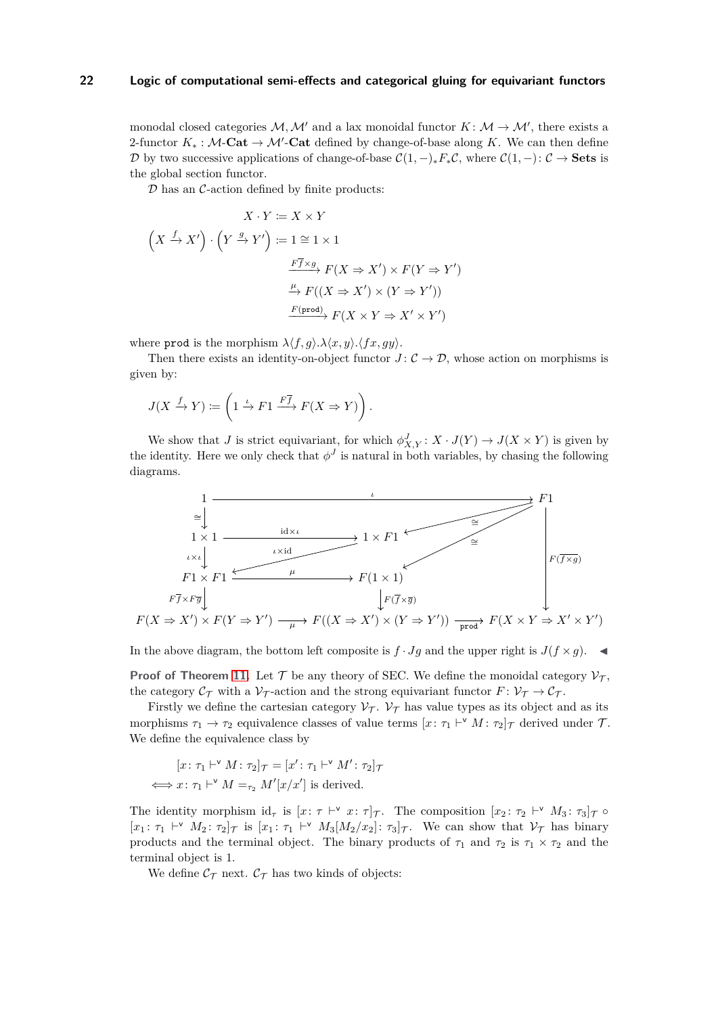monodal closed categories  $M, M'$  and a lax monoidal functor  $K: M \to M'$ , there exists a 2-functor  $K_* : \mathcal{M}\text{-}\mathbf{Cat} \to \mathcal{M}'\text{-}\mathbf{Cat}$  defined by change-of-base along K. We can then define D by two successive applications of change-of-base  $C(1, -)_*F_*\mathcal{C}$ , where  $C(1, -): \mathcal{C} \to \mathbf{Sets}$  is the global section functor.

 $D$  has an  $C$ -action defined by finite products:

$$
X \cdot Y := X \times Y
$$
  

$$
(X \xrightarrow{f} X') \cdot (Y \xrightarrow{g} Y') := 1 \cong 1 \times 1
$$
  

$$
\xrightarrow{F\overline{f} \times g} F(X \Rightarrow X') \times F(Y \Rightarrow Y')
$$
  

$$
\xrightarrow{\mu} F((X \Rightarrow X') \times (Y \Rightarrow Y'))
$$
  

$$
\xrightarrow{F(\text{prod})} F(X \times Y \Rightarrow X' \times Y')
$$

where prod is the morphism  $\lambda \langle f, g \rangle \cdot \lambda \langle x, y \rangle \cdot \langle fx, gy \rangle$ .

Then there exists an identity-on-object functor  $J: \mathcal{C} \to \mathcal{D}$ , whose action on morphisms is given by:

$$
J(X \xrightarrow{f} Y) \coloneqq \left(1 \xrightarrow{\iota} F1 \xrightarrow{F\overline{f}} F(X \Rightarrow Y)\right).
$$

We show that *J* is strict equivariant, for which  $\phi_{X,Y}^J: X \cdot J(Y) \to J(X \times Y)$  is given by the identity. Here we only check that  $\phi^J$  is natural in both variables, by chasing the following diagrams.



In the above diagram, the bottom left composite is  $f \cdot Jg$  and the upper right is  $J(f \times g)$ .

**Proof of Theorem [11.](#page-8-2)** Let  $\mathcal T$  be any theory of SEC. We define the monoidal category  $\mathcal V_{\mathcal T}$ , the category  $\mathcal{C}_{\mathcal{T}}$  with a  $\mathcal{V}_{\mathcal{T}}$ -action and the strong equivariant functor  $F: \mathcal{V}_{\mathcal{T}} \to \mathcal{C}_{\mathcal{T}}$ .

Firstly we define the cartesian category  $V_T$ .  $V_T$  has value types as its object and as its morphisms  $\tau_1 \to \tau_2$  equivalence classes of value terms  $[x: \tau_1 \vdash^{\vee} M: \tau_2]_{\mathcal{T}}$  derived under  $\mathcal{T}$ . We define the equivalence class by

$$
[x \colon \tau_1 \vdash^{\vee} M \colon \tau_2]_{\mathcal{T}} = [x' \colon \tau_1 \vdash^{\vee} M' \colon \tau_2]_{\mathcal{T}}
$$
  

$$
\iff x \colon \tau_1 \vdash^{\vee} M =_{\tau_2} M'[x/x'] \text{ is derived.}
$$

The identity morphism  $id_{\tau}$  is  $[x: \tau \vdash^{\vee} x: \tau]_{\mathcal{T}}$ . The composition  $[x_2: \tau_2 \vdash^{\vee} M_3: \tau_3]_{\mathcal{T}} \circ$  $[x_1: \tau_1 \vdash^{\vee} M_2: \tau_2]_{\mathcal{T}}$  is  $[x_1: \tau_1 \vdash^{\vee} M_3[M_2/x_2]: \tau_3]_{\mathcal{T}}$ . We can show that  $\mathcal{V}_{\mathcal{T}}$  has binary products and the terminal object. The binary products of  $\tau_1$  and  $\tau_2$  is  $\tau_1 \times \tau_2$  and the terminal object is 1.

We define  $\mathcal{C}_{\mathcal{T}}$  next.  $\mathcal{C}_{\mathcal{T}}$  has two kinds of objects: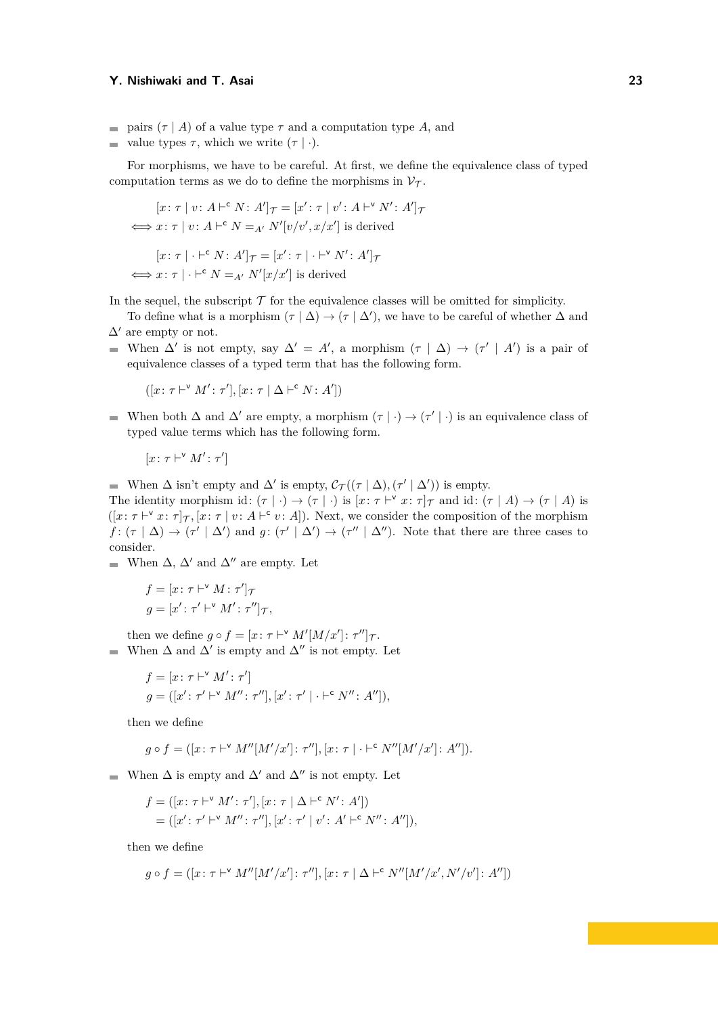- pairs  $(\tau | A)$  of a value type  $\tau$  and a computation type A, and
- value types  $\tau$ , which we write  $(\tau | \cdot)$ .

For morphisms, we have to be careful. At first, we define the equivalence class of typed computation terms as we do to define the morphisms in  $\mathcal{V}_{\mathcal{T}}$ .

$$
[x: \tau \mid v: A \vdash^{c} N: A']_{\mathcal{T}} = [x': \tau \mid v': A \vdash^{v} N': A']_{\mathcal{T}}
$$
  

$$
\iff x: \tau \mid v: A \vdash^{c} N =_{A'} N'[v/v', x/x'] \text{ is derived}
$$
  

$$
[x: \tau \mid \cdot \vdash^{c} N: A']_{\mathcal{T}} = [x': \tau \mid \cdot \vdash^{v} N': A']_{\mathcal{T}}
$$
  

$$
\iff x: \tau \mid \cdot \vdash^{c} N =_{A'} N'[x/x'] \text{ is derived}
$$

In the sequel, the subscript  $\mathcal T$  for the equivalence classes will be omitted for simplicity.

- To define what is a morphism  $(\tau | \Delta) \rightarrow (\tau | \Delta')$ , we have to be careful of whether  $\Delta$  and  $\Delta'$  are empty or not.
- When  $\Delta'$  is not empty, say  $\Delta' = A'$ , a morphism  $(\tau | \Delta) \rightarrow (\tau' | A')$  is a pair of equivalence classes of a typed term that has the following form.

$$
([x: \tau \vdash^{\mathsf{v}} M': \tau'], [x: \tau \mid \Delta \vdash^{\mathsf{c}} N: A'])
$$

When both  $\Delta$  and  $\Delta'$  are empty, a morphism  $(\tau | \cdot) \rightarrow (\tau' | \cdot)$  is an equivalence class of typed value terms which has the following form.

$$
[x \colon \tau \vdash^{\mathsf{v}} M' \colon \tau']
$$

When  $\Delta$  isn't empty and  $\Delta'$  is empty,  $\mathcal{C}_{\mathcal{T}}((\tau | \Delta), (\tau' | \Delta'))$  is empty.

The identity morphism id:  $(\tau | \cdot) \to (\tau | \cdot)$  is  $[x: \tau \vdash^{\vee} x: \tau]_{\mathcal{T}}$  and id:  $(\tau | A) \to (\tau | A)$  is  $([x: \tau \vdash^{\vee} x: \tau]_{\mathcal{T}}, [x: \tau \mid v: A \vdash^{\mathsf{c}} v: A]).$  Next, we consider the composition of the morphism  $f: (\tau | \Delta) \rightarrow (\tau' | \Delta')$  and  $g: (\tau' | \Delta') \rightarrow (\tau'' | \Delta'')$ . Note that there are three cases to consider.

■ When  $\Delta$ ,  $\Delta'$  and  $\Delta''$  are empty. Let

$$
f = [x: \tau \vdash^{\vee} M: \tau']_{\mathcal{T}}
$$

$$
g = [x': \tau' \vdash^{\vee} M': \tau'']_{\mathcal{T}},
$$

then we define  $g \circ f = [x : \tau \vdash^{\vee} M'[M/x'] : \tau'']_{\mathcal{T}}$ . When  $\Delta$  and  $\Delta'$  is empty and  $\Delta''$  is not empty. Let  $\blacksquare$ 

$$
f = [x \colon \tau \vdash^{\vee} M' \colon \tau']
$$
  

$$
g = ([x' \colon \tau' \vdash^{\vee} M' \colon \tau''], [x' \colon \tau' \mid \cdot \vdash^{\mathsf{c}} N'' \colon A'']),
$$

then we define

$$
g \circ f = ([x: \tau \vdash^{\vee} M''[M'/x'] : \tau''], [x: \tau \vdash^{\mathsf{c}} N''[M'/x'] : A'']).
$$

When  $\Delta$  is empty and  $\Delta'$  and  $\Delta''$  is not empty. Let

$$
f = ([x: \tau \vdash^{\vee} M': \tau'], [x: \tau \mid \Delta \vdash^{\mathsf{c}} N': A'])
$$
  
= ([x': \tau' \vdash^{\vee} M'': \tau''], [x': \tau' \mid v': A' \vdash^{\mathsf{c}} N'': A'']),

then we define

$$
g \circ f = ([x : \tau \vdash^{\vee} M''[M'/x'] : \tau''], [x : \tau \vdash \Delta \vdash^{\mathsf{c}} N''[M'/x', N'/v'] : A''])
$$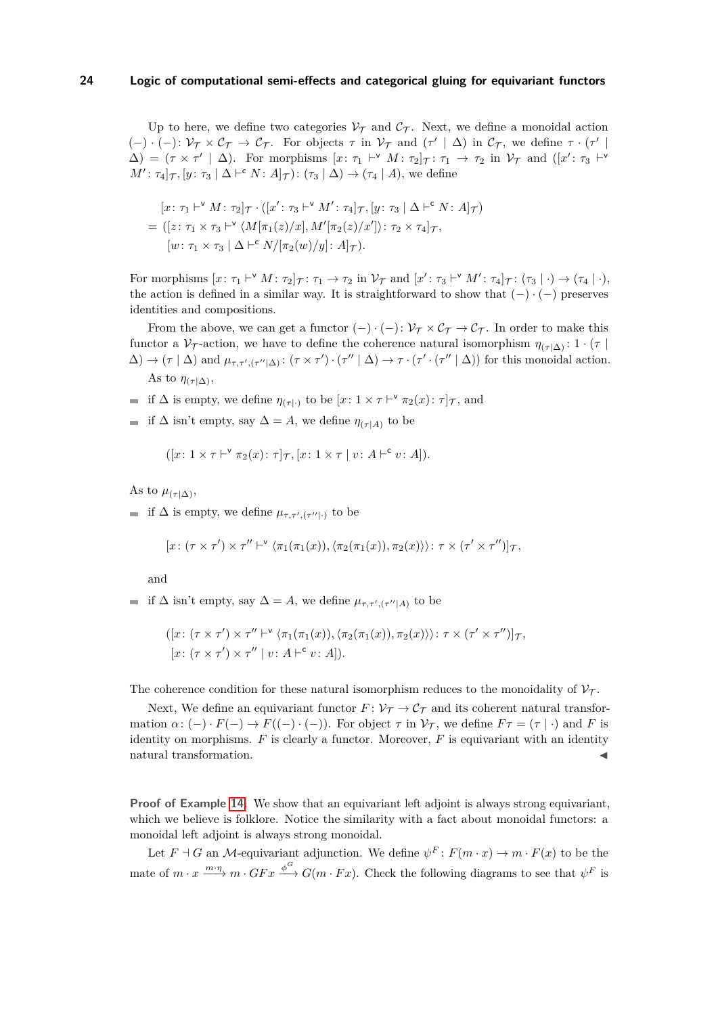Up to here, we define two categories  $V<sub>T</sub>$  and  $C<sub>T</sub>$ . Next, we define a monoidal action  $(-) \cdot (-) \colon \mathcal{V}_{\mathcal{T}} \times \mathcal{C}_{\mathcal{T}} \to \mathcal{C}_{\mathcal{T}}$ . For objects  $\tau$  in  $\mathcal{V}_{\mathcal{T}}$  and  $(\tau' | \Delta)$  in  $\mathcal{C}_{\mathcal{T}}$ , we define  $\tau \cdot (\tau' | \Delta)$  $\Delta$ ) = ( $\tau \times \tau' \mid \Delta$ ). For morphisms  $[x: \tau_1 \vdash^{\vee} M: \tau_2]_{\mathcal{T}}: \tau_1 \to \tau_2$  in  $\mathcal{V}_{\mathcal{T}}$  and  $([x': \tau_3 \vdash^{\vee} M: \tau_1]_{\mathcal{T}}: \tau_2 \vdash^{\vee} M: \tau_1 \to \tau_2$  $M'$ :  $\tau_4|\tau_7$ ,  $[y: \tau_3 | \Delta \vdash^c N: A]\tau$  :  $(\tau_3 | \Delta) \rightarrow (\tau_4 | A)$ , we define

$$
[x: \tau_1 \vdash^{\vee} M: \tau_2]_{\mathcal{T}} \cdot ([x': \tau_3 \vdash^{\vee} M': \tau_4]_{\mathcal{T}}, [y: \tau_3 \mid \Delta \vdash^{\mathsf{c}} N: A]_{\mathcal{T}})
$$
  
= ([z: \tau\_1 \times \tau\_3 \vdash^{\vee} \langle M[\pi\_1(z)/x], M'[\pi\_2(z)/x']) : \tau\_2 \times \tau\_4]\_{\mathcal{T}},  
[w: \tau\_1 \times \tau\_3 \mid \Delta \vdash^{\mathsf{c}} N/[\pi\_2(w)/y] : A]\_{\mathcal{T}}).

For morphisms  $[x: \tau_1 \vdash^{\vee} M: \tau_2]_{\mathcal{T}}: \tau_1 \to \tau_2$  in  $\mathcal{V}_{\mathcal{T}}$  and  $[x': \tau_3 \vdash^{\vee} M': \tau_4]_{\mathcal{T}}: (\tau_3 \vdash \cdot) \to (\tau_4 \vdash \cdot),$ the action is defined in a similar way. It is straightforward to show that  $(-) \cdot (-)$  preserves identities and compositions.

From the above, we can get a functor  $(-) \cdot (-) \colon \mathcal{V}_{\mathcal{T}} \times \mathcal{C}_{\mathcal{T}} \to \mathcal{C}_{\mathcal{T}}$ . In order to make this functor a  $\mathcal{V}_{\mathcal{T}}$ -action, we have to define the coherence natural isomorphism  $\eta_{(\tau|\Delta)}: 1 \cdot (\tau)$  $\Delta$ )  $\rightarrow$  (*τ* |  $\Delta$ ) and  $\mu_{\tau,\tau',(\tau'|\Delta)}$ : ( $\tau \times \tau'$ ) · ( $\tau'' \mid \Delta$ )  $\rightarrow \tau \cdot (\tau' \cdot (\tau'' \mid \Delta))$  for this monoidal action. As to  $\eta_{(\tau|\Delta)}$ ,

- if  $\Delta$  is empty, we define  $\eta_{(\tau|\cdot)}$  to be  $[x: 1 \times \tau \vdash^{\vee} \pi_2(x): \tau]_{\mathcal{T}}$ , and
- $\blacksquare$  if Δ isn't empty, say Δ = *A*, we define  $η_{(τ|A)}$  to be

$$
([x:1\times\tau\vdash^{\vee}\pi_2(x):\tau]_{\mathcal{T}},[x:1\times\tau\mid v:A\vdash^{\mathsf{c}} v:A]).
$$

As to  $\mu_{(\tau|\Delta)},$ 

if  $\Delta$  is empty, we define  $\mu_{\tau,\tau',(\tau'|\cdot)}$  to be

$$
[x\colon (\tau\times\tau')\times\tau''\vdash^{\mathsf{v}}\langle\pi_1(\pi_1(x)),\langle\pi_2(\pi_1(x)),\pi_2(x)\rangle\rangle\colon\tau\times(\tau'\times\tau'')]\tau,
$$

and

if  $\Delta$  isn't empty, say  $\Delta = A$ , we define  $\mu_{\tau,\tau',(\tau''|A)}$  to be

$$
([x: (\tau \times \tau') \times \tau'' \vdash^{\vee} \langle \pi_1(\pi_1(x)), \langle \pi_2(\pi_1(x)), \pi_2(x) \rangle \rangle : \tau \times (\tau' \times \tau'')]\tau,
$$
  

$$
[x: (\tau \times \tau') \times \tau'' \mid v: A \vdash^c v: A]).
$$

The coherence condition for these natural isomorphism reduces to the monoidality of  $\mathcal{V}_{\mathcal{T}}$ .

Next, We define an equivariant functor  $F: \mathcal{V}_{\mathcal{T}} \to \mathcal{C}_{\mathcal{T}}$  and its coherent natural transformation  $\alpha: (-) \cdot F(-) \to F((-) \cdot (-))$ . For object  $\tau$  in  $\mathcal{V}_{\tau}$ , we define  $F \tau = (\tau | \cdot)$  and F is identity on morphisms.  $F$  is clearly a functor. Moreover,  $F$  is equivariant with an identity natural transformation.

**Proof of Example [14.](#page-9-1)** We show that an equivariant left adjoint is always strong equivariant, which we believe is folklore. Notice the similarity with a fact about monoidal functors: a monoidal left adjoint is always strong monoidal.

Let  $F \dashv G$  an *M*-equivariant adjunction. We define  $\psi^F : F(m \cdot x) \to m \cdot F(x)$  to be the mate of  $m \cdot x \xrightarrow{m \cdot \eta} m \cdot G F x \xrightarrow{\phi^G} G(m \cdot F x)$ . Check the following diagrams to see that  $\psi^F$  is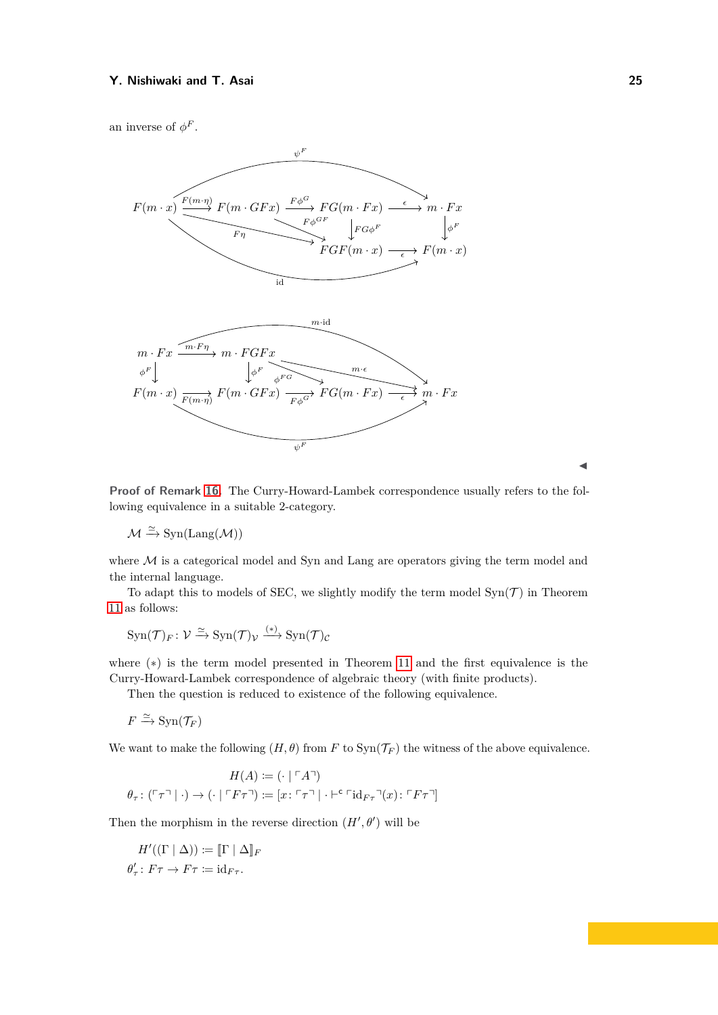an inverse of  $\phi^F$ .



**Proof of Remark [16.](#page-9-0)** The Curry-Howard-Lambek correspondence usually refers to the following equivalence in a suitable 2-category.

 $\mathcal{M} \xrightarrow{\simeq} \text{Syn}(\text{Lang}(\mathcal{M}))$ 

where  $M$  is a categorical model and Syn and Lang are operators giving the term model and the internal language.

To adapt this to models of SEC, we slightly modify the term model  $\text{Syn}(\mathcal{T})$  in Theorem [11](#page-8-2) as follows:

$$
\operatorname{Syn}(\mathcal T)_F\colon\mathcal V\xrightarrow{\simeq} \operatorname{Syn}(\mathcal T)_\mathcal V\xrightarrow{(*)}\operatorname{Syn}(\mathcal T)_\mathcal C
$$

where (∗) is the term model presented in Theorem [11](#page-8-2) and the first equivalence is the Curry-Howard-Lambek correspondence of algebraic theory (with finite products).

Then the question is reduced to existence of the following equivalence.

$$
F \xrightarrow{\simeq} \mathrm{Syn}(\mathcal{T}_F)
$$

We want to make the following  $(H, \theta)$  from *F* to  $\text{Syn}(\mathcal{T}_F)$  the witness of the above equivalence.

$$
H(A) := (\cdot \mid \ulcorner A \urcorner)
$$
  

$$
\theta_{\tau} : (\ulcorner \tau \urcorner \mid \cdot) \to (\cdot \mid \ulcorner F\tau \urcorner) := [x : \ulcorner \tau \urcorner \mid \cdot \vdash^c \ulcorner id_{F\tau} \urcorner (x) : \ulcorner F\tau \urcorner]
$$

Then the morphism in the reverse direction  $(H', \theta')$  will be

$$
H'((\Gamma \mid \Delta)) \coloneqq [\![ \Gamma \mid \Delta ]\!]_F
$$
  

$$
\theta'_\tau \colon F\tau \to F\tau \coloneqq \mathrm{id}_{F\tau}.
$$

J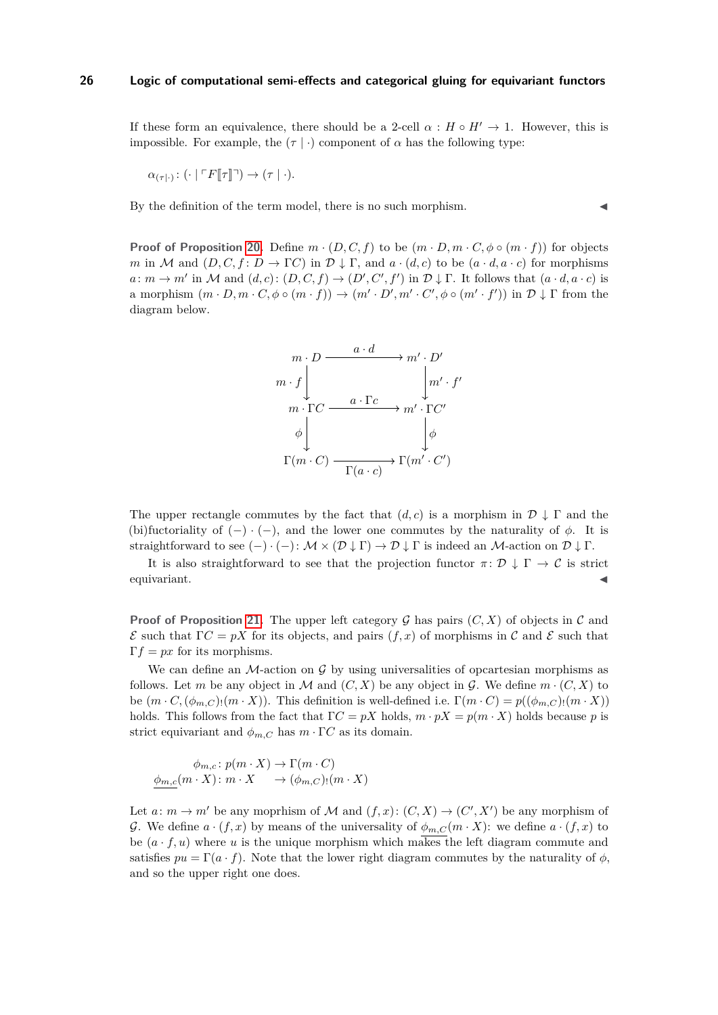If these form an equivalence, there should be a 2-cell  $\alpha : H \circ H' \to 1$ . However, this is impossible. For example, the  $(\tau | \cdot)$  component of  $\alpha$  has the following type:

$$
\alpha_{(\tau|\cdot)}\colon(\cdot\mid\ulcorner F[\![\tau]\!] \urcorner)\to(\tau\mid\cdot).
$$

By the definition of the term model, there is no such morphism.

**Proof of Proposition [20.](#page-10-0)** Define  $m \cdot (D, C, f)$  to be  $(m \cdot D, m \cdot C, \phi \circ (m \cdot f))$  for objects *m* in M and  $(D, C, f: D \to \Gamma C)$  in  $\mathcal{D} \downarrow \Gamma$ , and  $a \cdot (d, c)$  to be  $(a \cdot d, a \cdot c)$  for morphisms  $a: m \to m'$  in M and  $(d, c): (D, C, f) \to (D', C', f')$  in  $D \downarrow \Gamma$ . It follows that  $(a \cdot d, a \cdot c)$  is a morphism  $(m \cdot D, m \cdot C, \phi \circ (m \cdot f)) \to (m' \cdot D', m' \cdot C', \phi \circ (m' \cdot f'))$  in  $\mathcal{D} \downarrow \Gamma$  from the diagram below.



The upper rectangle commutes by the fact that  $(d, c)$  is a morphism in  $\mathcal{D} \downarrow \Gamma$  and the (bi)fuctoriality of  $(-) \cdot (-)$ , and the lower one commutes by the naturality of  $\phi$ . It is straightforward to see  $(-) \cdot (-) \colon \mathcal{M} \times (\mathcal{D} \downarrow \Gamma) \to \mathcal{D} \downarrow \Gamma$  is indeed an  $\mathcal{M}$ -action on  $\mathcal{D} \downarrow \Gamma$ .

It is also straightforward to see that the projection functor  $\pi: \mathcal{D} \downarrow \Gamma \to \mathcal{C}$  is strict  $\blacksquare$ equivariant.

**Proof of Proposition [21.](#page-10-1)** The upper left category G has pairs  $(C, X)$  of objects in C and  $\mathcal E$  such that  $\Gamma C = pX$  for its objects, and pairs  $(f, x)$  of morphisms in C and E such that  $\Gamma f = px$  for its morphisms.

We can define an  $\mathcal{M}$ -action on G by using universalities of opcartesian morphisms as follows. Let *m* be any object in M and  $(C, X)$  be any object in G. We define  $m \cdot (C, X)$  to be  $(m \cdot C, (\phi_{m,C})_1(m \cdot X))$ . This definition is well-defined i.e.  $\Gamma(m \cdot C) = p((\phi_{m,C})_1(m \cdot X))$ holds. This follows from the fact that  $\Gamma C = pX$  holds,  $m \cdot pX = p(m \cdot X)$  holds because *p* is strict equivariant and  $\phi_{m,C}$  has  $m \cdot \Gamma C$  as its domain.

$$
\phi_{m,c} \colon p(m \cdot X) \to \Gamma(m \cdot C)
$$
  

$$
\phi_{m,c}(m \cdot X) \colon m \cdot X \to (\phi_{m,C})(m \cdot X)
$$

Let  $a: m \to m'$  be any moprhism of M and  $(f, x): (C, X) \to (C', X')$  be any morphism of G. We define  $a \cdot (f, x)$  by means of the universality of  $\phi_{m,C}(m \cdot X)$ : we define  $a \cdot (f, x)$  to be  $(a \cdot f, u)$  where u is the unique morphism which makes the left diagram commute and satisfies  $pu = \Gamma(a \cdot f)$ . Note that the lower right diagram commutes by the naturality of  $\phi$ , and so the upper right one does.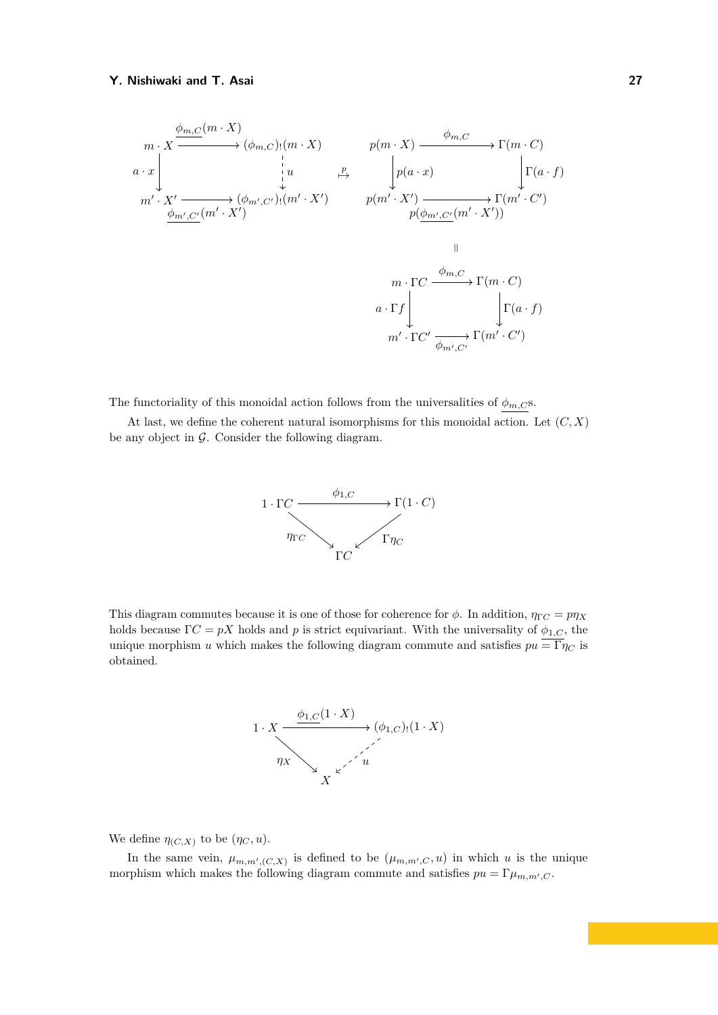$$
m \cdot X \xrightarrow{\phi_{m,C}(m \cdot X)} (\phi_{m,C})(m \cdot X) \qquad p(m \cdot X) \xrightarrow{\phi_{m,C}} \Gamma(m \cdot C)
$$
\n
$$
a \cdot x \downarrow u \qquad \xrightarrow{\mu} \qquad \qquad \downarrow p(a \cdot x) \qquad \qquad \downarrow \Gamma(a \cdot f)
$$
\n
$$
m' \cdot X' \xrightarrow{\phi_{m',C'}(m' \cdot X')} (\phi_{m',C'})(m' \cdot X') \qquad p(m' \cdot X') \xrightarrow{\phi_{m',C'}(m' \cdot X'))} \Gamma(m' \cdot C')
$$
\n
$$
m \cdot \Gamma C \xrightarrow{\phi_{m,C}} \Gamma(m \cdot C)
$$
\n
$$
a \cdot \Gamma f \downarrow \qquad \qquad \downarrow \Gamma(a \cdot f)
$$
\n
$$
m' \cdot \Gamma C' \xrightarrow{\phi_{m',C'}} \Gamma(m' \cdot C')
$$

The functoriality of this monoidal action follows from the universalities of  $\phi_{m,C}$ s.

At last, we define the coherent natural isomorphisms for this monoidal action. Let (*C, X*) be any object in  $\mathcal G$ . Consider the following diagram.



This diagram commutes because it is one of those for coherence for  $\phi$ . In addition,  $\eta_{\Gamma C} = p\eta_X$ holds because  $\Gamma C = pX$  holds and *p* is strict equivariant. With the universality of  $\phi_{1,C}$ , the unique morphism *u* which makes the following diagram commute and satisfies  $pu = \Gamma \eta_C$  is obtained.



We define  $\eta_{(C,X)}$  to be  $(\eta_C, u)$ .

In the same vein,  $\mu_{m,m',(C,X)}$  is defined to be  $(\mu_{m,m',C}, u)$  in which *u* is the unique morphism which makes the following diagram commute and satisfies  $pu = \Gamma \mu_{m,m',C}$ .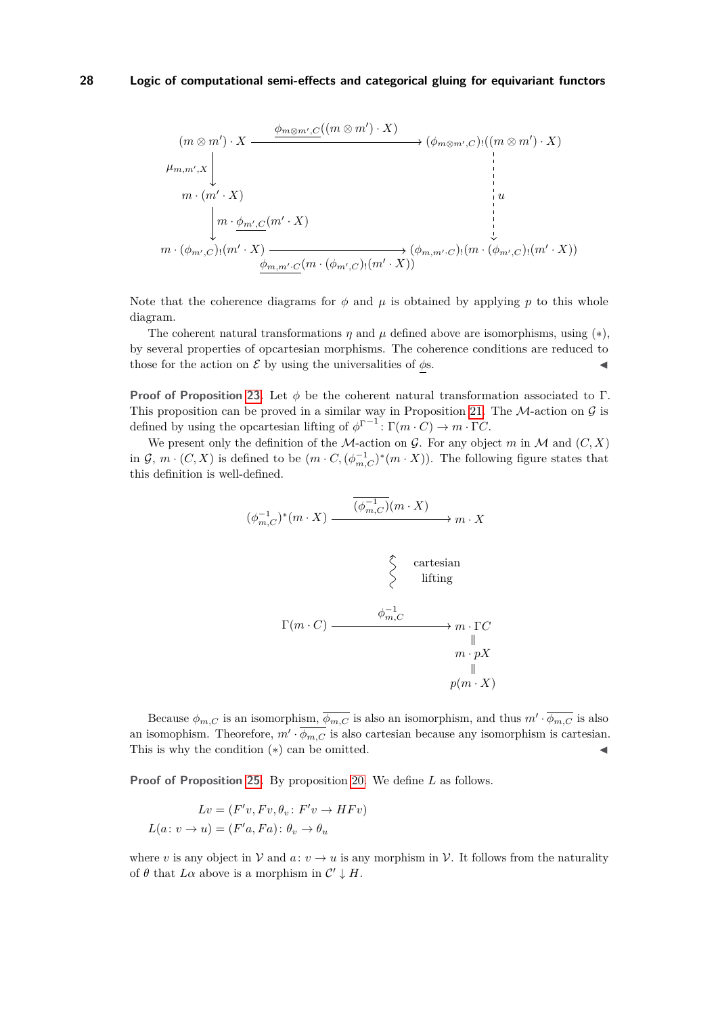

Note that the coherence diagrams for  $\phi$  and  $\mu$  is obtained by applying  $p$  to this whole diagram.

The coherent natural transformations  $\eta$  and  $\mu$  defined above are isomorphisms, using  $(*),$ by several properties of opcartesian morphisms. The coherence conditions are reduced to those for the action on  $\mathcal E$  by using the universalities of  $\phi$ s.

**Proof of Proposition [23.](#page-11-1)** Let *φ* be the coherent natural transformation associated to Γ. This proposition can be proved in a similar way in Proposition [21.](#page-10-1) The  $M$ -action on  $\mathcal G$  is defined by using the opcartesian lifting of  $\phi^{\Gamma^{-1}}$ :  $\Gamma(m \cdot C) \to m \cdot \Gamma C$ .

We present only the definition of the *M*-action on  $G$ . For any object *m* in *M* and  $(C, X)$ in  $\mathcal{G}, m \cdot (C, X)$  is defined to be  $(m \cdot C, (\phi_{m,C}^{-1})^*(m \cdot X))$ . The following figure states that this definition is well-defined.

$$
\begin{array}{ccc}\n\phi_{m,C}^{-1}\n\end{array}^{\ast}(m \cdot X) \xrightarrow{\overline{(\phi_{m,C}^{-1})}(m \cdot X)} m \cdot X
$$
\n
$$
\begin{array}{ccc}\n\uparrow & & \uparrow & & \uparrow \\
\downarrow & & \downarrow & & \uparrow \\
\downarrow & & \downarrow & & \downarrow \\
\downarrow & & & \downarrow & & \uparrow \\
\downarrow & & & \downarrow & & \downarrow \\
\downarrow & & & & \downarrow & & \downarrow \\
m \cdot pX & & & & \downarrow \\
p(m \cdot X)\n\end{array}
$$

Because  $\phi_{m,C}$  is an isomorphism,  $\overline{\phi_{m,C}}$  is also an isomorphism, and thus  $m' \cdot \overline{\phi_{m,C}}$  is also an isomophism. Theorefore,  $m' \cdot \overline{\phi_{m,C}}$  is also cartesian because any isomorphism is cartesian. This is why the condition  $(*)$  can be omitted.

**Proof of Proposition [25.](#page-11-4)** By proposition [20.](#page-10-0) We define *L* as follows.

$$
Lv = (F'v, Fv, \theta_v : F'v \to HFv)
$$

$$
L(a: v \to u) = (F'a, Fa): \theta_v \to \theta_u
$$

(*φ*

where *v* is any object in  $V$  and  $a: v \rightarrow u$  is any morphism in V. It follows from the naturality of  $\theta$  that  $L\alpha$  above is a morphism in  $\mathcal{C}' \downarrow H$ .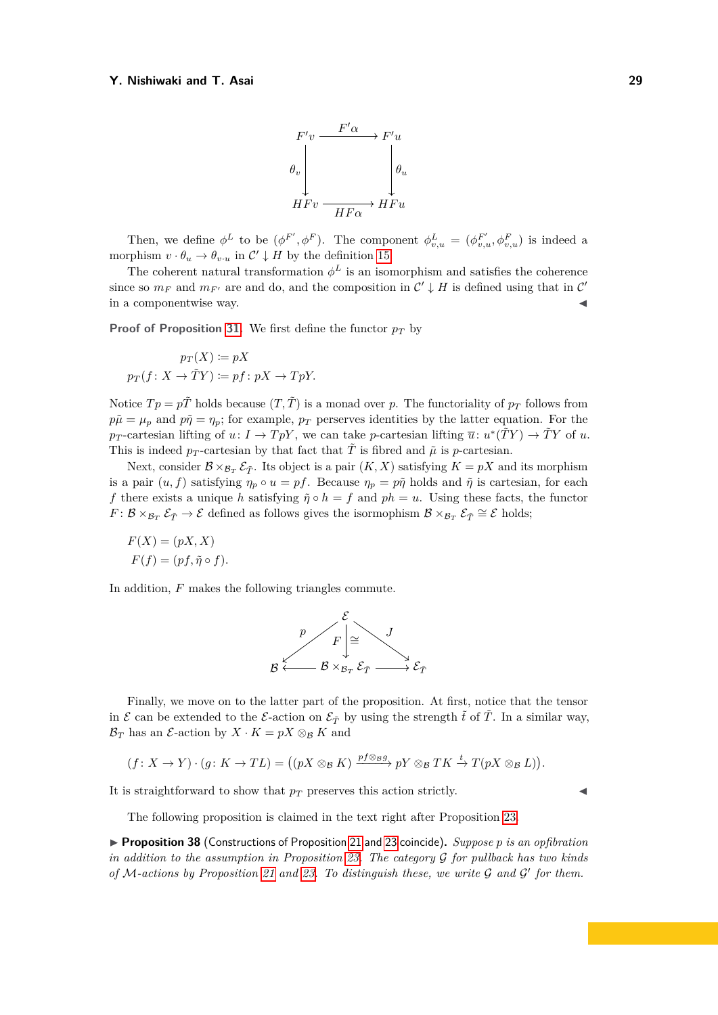

Then, we define  $\phi^L$  to be  $(\phi^{F'}, \phi^F)$ . The component  $\phi^L_{v,u} = (\phi^{F'}_{v,u}, \phi^F_{v,u})$  is indeed a morphism  $v \cdot \theta_u \to \theta_{v \cdot u}$  in  $\mathcal{C}' \downarrow H$  by the definition [15.](#page-9-2)

The coherent natural transformation  $\phi^L$  is an isomorphism and satisfies the coherence since so  $m_F$  and  $m_{F'}$  are and do, and the composition in  $\mathcal{C}' \downarrow H$  is defined using that in  $\mathcal{C}'$ in a componentwise way.

**Proof of Proposition [31.](#page-13-2)** We first define the functor  $p_T$  by

$$
p_T(X) := pX
$$
  

$$
p_T(f: X \to \tilde{T}Y) := pf: pX \to TpY.
$$

Notice  $Tp = p\tilde{T}$  holds because  $(T, \tilde{T})$  is a monad over *p*. The functoriality of  $p_T$  follows from  $p\tilde{\mu} = \mu_n$  and  $p\tilde{\eta} = \eta_n$ ; for example,  $p_T$  perserves identities by the latter equation. For the  $p_T$ -cartesian lifting of  $u: I \to T pY$ , we can take *p*-cartesian lifting  $\overline{u}: u^*(\tilde{T}Y) \to \tilde{T}Y$  of *u*. This is indeed  $p_T$ -cartesian by that fact that  $\tilde{T}$  is fibred and  $\tilde{\mu}$  is *p*-cartesian.

Next, consider  $\mathcal{B} \times_{\mathcal{B}_T} \mathcal{E}_{\tilde{T}}$ . Its object is a pair  $(K, X)$  satisfying  $K = pX$  and its morphism is a pair  $(u, f)$  satisfying  $\eta_p \circ u = pf$ . Because  $\eta_p = p\tilde{\eta}$  holds and  $\tilde{\eta}$  is cartesian, for each *f* there exists a unique *h* satisfying  $\tilde{\eta} \circ h = f$  and  $ph = u$ . Using these facts, the functor *F* :  $\mathcal{B} \times_{\mathcal{B}_T} \mathcal{E}_{\tilde{T}} \to \mathcal{E}$  defined as follows gives the isormophism  $\mathcal{B} \times_{\mathcal{B}_T} \mathcal{E}_{\tilde{T}} \cong \mathcal{E}$  holds;

$$
F(X) = (pX, X)
$$

$$
F(f) = (pf, \tilde{\eta} \circ f).
$$

In addition, *F* makes the following triangles commute.



Finally, we move on to the latter part of the proposition. At first, notice that the tensor in  $\mathcal E$  can be extended to the  $\mathcal E$ -action on  $\mathcal E_{\tilde T}$  by using the strength  $\tilde t$  of  $\tilde T$ . In a similar way,  $\mathcal{B}_T$  has an *E*-action by  $X \cdot K = pX \otimes_B K$  and

$$
(f: X \to Y) \cdot (g: K \to TL) = ((pX \otimes_{\mathcal{B}} K) \xrightarrow{pf \otimes_{\mathcal{B}} pY} pY \otimes_{\mathcal{B}} TK \xrightarrow{t} T(pX \otimes_{\mathcal{B}} L)).
$$

It is straightforward to show that  $p_T$  preserves this action strictly.

The following proposition is claimed in the text right after Proposition [23.](#page-11-1)

I **Proposition 38** (Constructions of Proposition [21](#page-10-1) and [23](#page-11-1) coincide)**.** *Suppose p is an opfibration in addition to the assumption in Proposition [23.](#page-11-1) The category* G *for pullback has two kinds of* M*-actions by Proposition [21](#page-10-1) and [23.](#page-11-1) To distinguish these, we write* G *and* G 0 *for them.*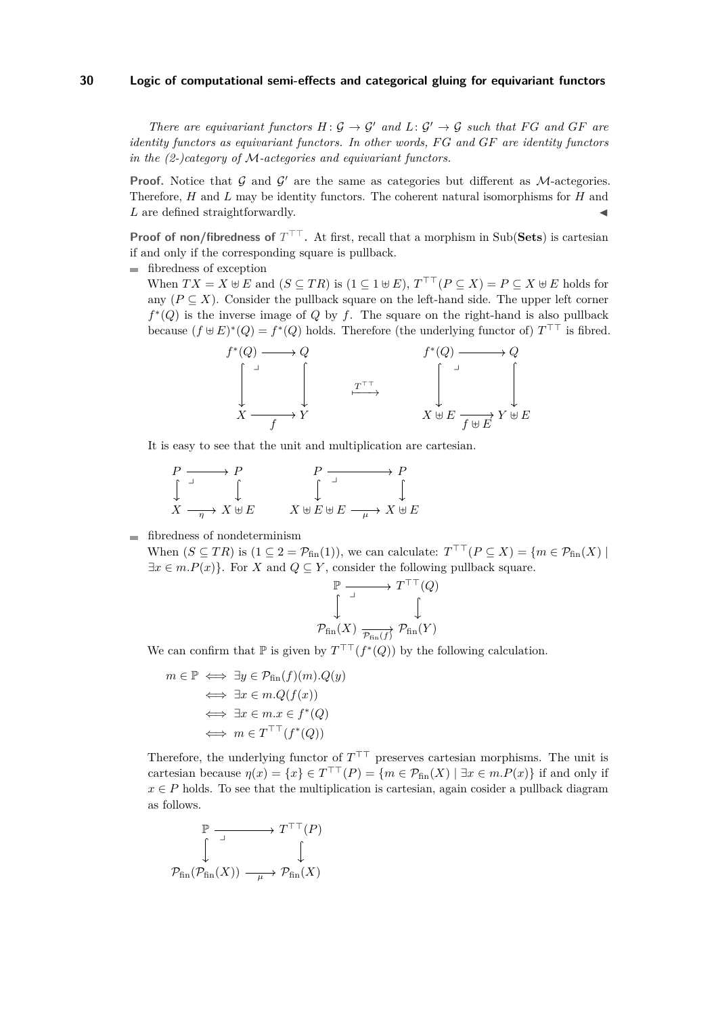*There are equivariant functors*  $H: \mathcal{G} \to \mathcal{G}'$  *and*  $L: \mathcal{G}' \to \mathcal{G}$  *such that*  $FG$  *and*  $GF$  *are identity functors as equivariant functors. In other words, F G and GF are identity functors in the (2-)category of* M*-actegories and equivariant functors.*

**Proof.** Notice that  $G$  and  $G'$  are the same as categories but different as M-actegories. Therefore, *H* and *L* may be identity functors. The coherent natural isomorphisms for *H* and L are defined straightforwardly.

**Proof of non/fibredness of**  $T^{\top\top}$ . At first, recall that a morphism in Sub(Sets) is cartesian if and only if the corresponding square is pullback.

fibredness of exception

When  $TX = X \oplus E$  and  $(S \subseteq TR)$  is  $(1 \subseteq 1 \oplus E)$ ,  $T^{\top \top} (P \subseteq X) = P \subseteq X \oplus E$  holds for any  $(P \subseteq X)$ . Consider the pullback square on the left-hand side. The upper left corner  $f^*(Q)$  is the inverse image of  $Q$  by  $f$ . The square on the right-hand is also pullback because  $(f \oplus E)^*(Q) = f^*(Q)$  holds. Therefore (the underlying functor of)  $T^{\top}$  is fibred.



It is easy to see that the unit and multiplication are cartesian.

$$
\begin{array}{ccc}\nP & \longrightarrow & P & P & \longrightarrow & P \\
\int & \downarrow & & \uparrow & & \uparrow & \uparrow \\
X & \longrightarrow & X \uplus E & & X \uplus E \uplus E & \longrightarrow & X \uplus E\n\end{array}
$$

fibredness of nondeterminism

When  $(S \subseteq TR)$  is  $(1 \subseteq 2 = \mathcal{P}_{fin}(1))$ , we can calculate:  $T^{\top\top}(P \subseteq X) = \{m \in \mathcal{P}_{fin}(X) \mid \exists m \in \mathcal{P}_{fin}(X) \mid m \in \mathcal{P}_{fin}(X) \}$  $\exists x \in m.P(x)$ . For *X* and  $Q \subseteq Y$ , consider the following pullback square.

$$
\begin{array}{ccc}\n\mathbb{P} & \xrightarrow{\iint} & T^{\top} \Gamma(Q) \\
\downarrow & & \downarrow \\
\mathcal{P}_{\text{fin}}(X) & \xrightarrow{\mathcal{P}_{\text{fin}}(f)} & \mathcal{P}_{\text{fin}}(Y)\n\end{array}
$$

We can confirm that  $\mathbb P$  is given by  $T^{\top\top}(f^*(Q))$  by the following calculation.

$$
m \in \mathbb{P} \iff \exists y \in \mathcal{P}_{fin}(f)(m).Q(y)
$$

$$
\iff \exists x \in m.Q(f(x))
$$

$$
\iff \exists x \in m.x \in f^*(Q)
$$

$$
\iff m \in T^{\top}(f^*(Q))
$$

Therefore, the underlying functor of  $T^{\top\top}$  preserves cartesian morphisms. The unit is cartesian because  $\eta(x) = \{x\} \in T^{\top}(\mathcal{P}) = \{m \in \mathcal{P}_{fin}(X) \mid \exists x \in m \cdot P(x)\}$  if and only if  $x \in P$  holds. To see that the multiplication is cartesian, again cosider a pullback diagram as follows.

$$
\mathbb{P} \xrightarrow{\Box} T^{\top \top} (P)
$$
  

$$
\downarrow \qquad \qquad \downarrow
$$
  

$$
\mathcal{P}_{\text{fin}}(\mathcal{P}_{\text{fin}}(X)) \xrightarrow{\quad \mu \rightarrow} \mathcal{P}_{\text{fin}}(X)
$$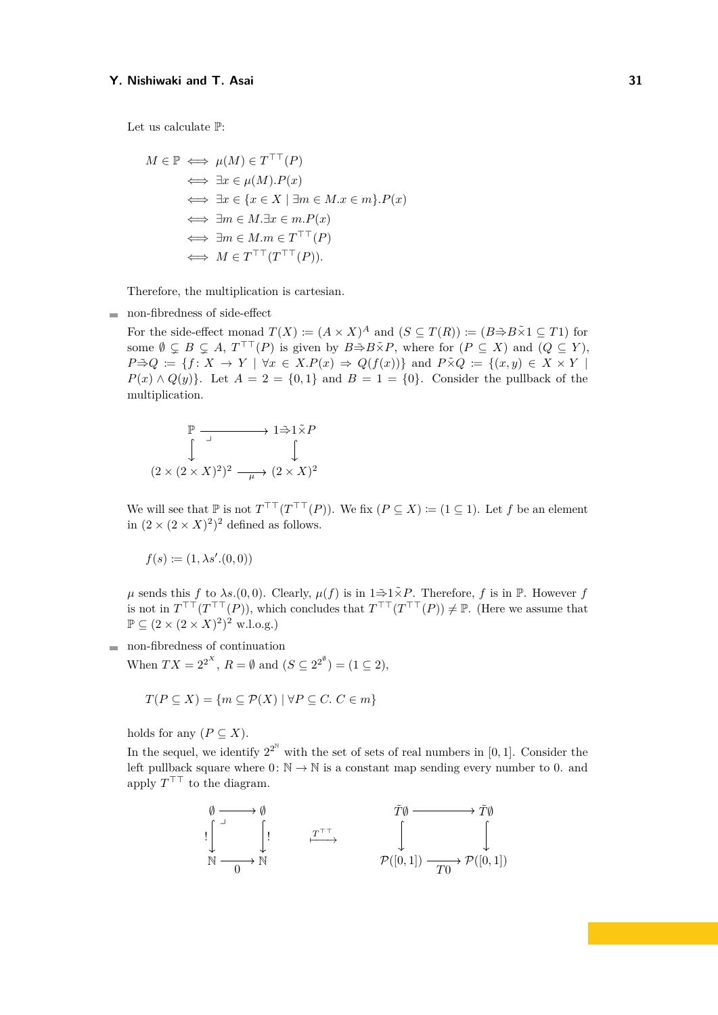Let us calculate P:

$$
M \in \mathbb{P} \iff \mu(M) \in T^{\top\top}(P)
$$
  
\n
$$
\iff \exists x \in \mu(M). P(x)
$$
  
\n
$$
\iff \exists x \in \{x \in X \mid \exists m \in M. x \in m\}. P(x)
$$
  
\n
$$
\iff \exists m \in M. \exists x \in m. P(x)
$$
  
\n
$$
\iff \exists m \in M. m \in T^{\top\top}(P)
$$
  
\n
$$
\iff M \in T^{\top\top}(T^{\top\top}(P)).
$$

Therefore, the multiplication is cartesian.

non-fibredness of side-effect

For the side-effect monad  $T(X) := (A \times X)^A$  and  $(S \subseteq T(R)) := (B \rightarrow B \times 1 \subseteq T1)$  for some  $\emptyset \subsetneq B \subsetneq A$ ,  $T^{\top\top}(P)$  is given by  $B \cong B \times \times P$ , where for  $(P \subseteq X)$  and  $(Q \subseteq Y)$ ,  $P \Rightarrow Q := \{f: X \to Y \mid \forall x \in X.P(x) \Rightarrow Q(f(x))\}$  and  $P \times Q := \{(x, y) \in X \times Y \mid$  $P(x) \wedge Q(y)$ . Let  $A = 2 = \{0, 1\}$  and  $B = 1 = \{0\}$ . Consider the pullback of the multiplication.

$$
\mathbb{P} \xrightarrow{\Box} 1 \xrightarrow{\tilde{\to}} 1 \xrightarrow{\tilde{\to}} P
$$

$$
(2 \times (2 \times X)^2)^2 \xrightarrow{\quad \mu \rightarrow} (2 \times X)^2
$$

We will see that  $\mathbb P$  is not  $T^{\top\top}(T^{\top\top}(P))$ . We fix  $(P \subseteq X) := (1 \subseteq 1)$ . Let *f* be an element in  $(2 \times (2 \times X)^2)^2$  defined as follows.

$$
f(s) \coloneqq (1, \lambda s'.(0, 0))
$$

 $\mu$  sends this *f* to *λs.*(0,0). Clearly,  $\mu(f)$  is in  $1 \stackrel{\sim}{\Rightarrow} 1 \stackrel{\sim}{\times} P$ . Therefore, *f* is in P. However *f* is not in  $T^{\top\top}(T^{\top\top}(P))$ , which concludes that  $T^{\top\top}(T^{\top\top}(P)) \neq \mathbb{P}$ . (Here we assume that  $\mathbb{P} \subseteq (2 \times (2 \times X)^2)^2$  w.l.o.g.)

non-fibredness of continuation

When  $TX = 2^{2^X}$ ,  $R = \emptyset$  and  $(S \subseteq 2^{2^{\emptyset}}) = (1 \subseteq 2)$ ,

$$
T(P \subseteq X) = \{ m \subseteq \mathcal{P}(X) \mid \forall P \subseteq C. \ C \in m \}
$$

holds for any  $(P \subseteq X)$ .

In the sequel, we identify  $2^{2^N}$  with the set of sets of real numbers in [0,1]. Consider the left pullback square where  $0: \mathbb{N} \to \mathbb{N}$  is a constant map sending every number to 0. and apply  $T^{\top}$  to the diagram.